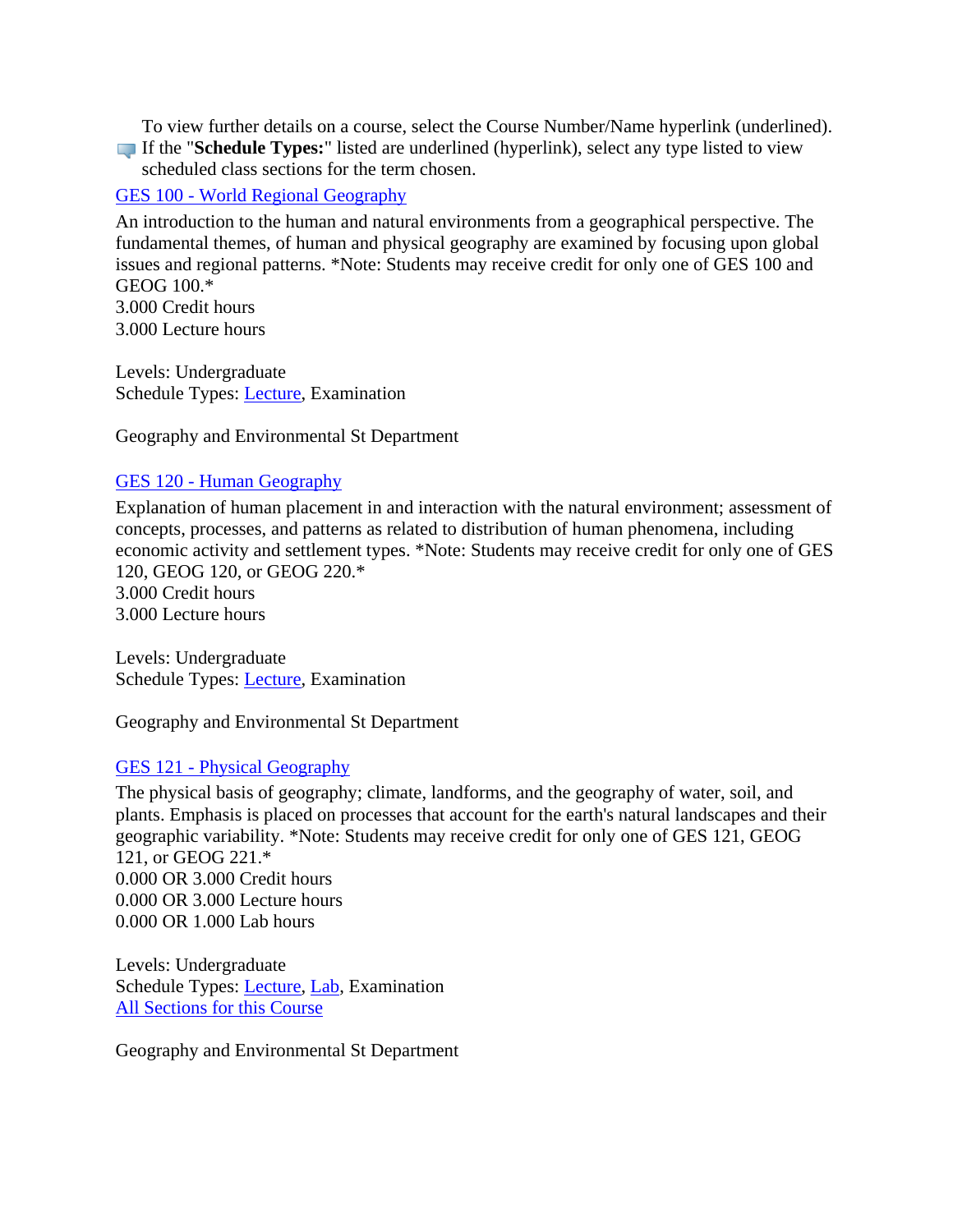To view further details on a course, select the Course Number/Name hyperlink (underlined). If the "**Schedule Types:**" listed are underlined (hyperlink), select any type listed to view

scheduled class sections for the term chosen.

## GES 100 - [World Regional Geography](https://banner.uregina.ca:17023/ssbprod/bwckctlg.p_disp_course_detail?cat_term_in=202130&subj_code_in=GES&crse_numb_in=100)

An introduction to the human and natural environments from a geographical perspective. The fundamental themes, of human and physical geography are examined by focusing upon global issues and regional patterns. \*Note: Students may receive credit for only one of GES 100 and GEOG 100.\*

3.000 Credit hours 3.000 Lecture hours

Levels: Undergraduate Schedule Types: [Lecture,](https://banner.uregina.ca:17023/ssbprod/bwckctlg.p_disp_listcrse?term_in=202130&subj_in=GES&crse_in=100&schd_in=A) Examination

Geography and Environmental St Department

#### GES 120 - [Human Geography](https://banner.uregina.ca:17023/ssbprod/bwckctlg.p_disp_course_detail?cat_term_in=202130&subj_code_in=GES&crse_numb_in=120)

Explanation of human placement in and interaction with the natural environment; assessment of concepts, processes, and patterns as related to distribution of human phenomena, including economic activity and settlement types. \*Note: Students may receive credit for only one of GES 120, GEOG 120, or GEOG 220.\* 3.000 Credit hours 3.000 Lecture hours

Levels: Undergraduate Schedule Types: [Lecture,](https://banner.uregina.ca:17023/ssbprod/bwckctlg.p_disp_listcrse?term_in=202130&subj_in=GES&crse_in=120&schd_in=A) Examination

Geography and Environmental St Department

### GES 121 - [Physical Geography](https://banner.uregina.ca:17023/ssbprod/bwckctlg.p_disp_course_detail?cat_term_in=202130&subj_code_in=GES&crse_numb_in=121)

The physical basis of geography; climate, landforms, and the geography of water, soil, and plants. Emphasis is placed on processes that account for the earth's natural landscapes and their geographic variability. \*Note: Students may receive credit for only one of GES 121, GEOG 121, or GEOG 221.\* 0.000 OR 3.000 Credit hours 0.000 OR 3.000 Lecture hours 0.000 OR 1.000 Lab hours

Levels: Undergraduate Schedule Types: [Lecture,](https://banner.uregina.ca:17023/ssbprod/bwckctlg.p_disp_listcrse?term_in=202130&subj_in=GES&crse_in=121&schd_in=A) [Lab,](https://banner.uregina.ca:17023/ssbprod/bwckctlg.p_disp_listcrse?term_in=202130&subj_in=GES&crse_in=121&schd_in=B) Examination [All Sections for this Course](https://banner.uregina.ca:17023/ssbprod/bwckctlg.p_disp_listcrse?term_in=202130&subj_in=GES&crse_in=121&schd_in=)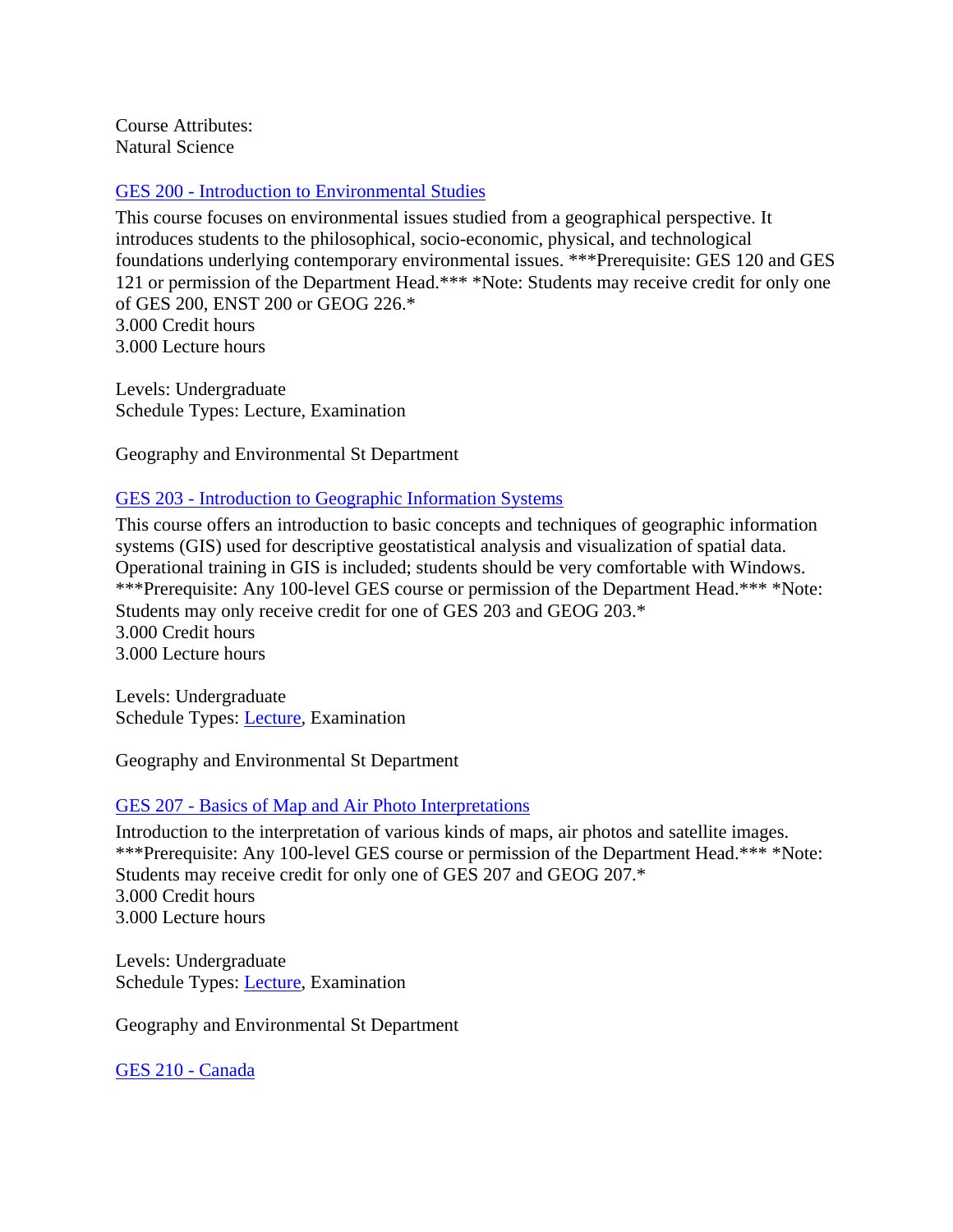Course Attributes: Natural Science

#### GES 200 - [Introduction to Environmental Studies](https://banner.uregina.ca:17023/ssbprod/bwckctlg.p_disp_course_detail?cat_term_in=202130&subj_code_in=GES&crse_numb_in=200)

This course focuses on environmental issues studied from a geographical perspective. It introduces students to the philosophical, socio-economic, physical, and technological foundations underlying contemporary environmental issues. \*\*\*Prerequisite: GES 120 and GES 121 or permission of the Department Head.\*\*\* \*Note: Students may receive credit for only one of GES 200, ENST 200 or GEOG 226.\* 3.000 Credit hours 3.000 Lecture hours

Levels: Undergraduate Schedule Types: Lecture, Examination

Geography and Environmental St Department

#### GES 203 - [Introduction to Geographic Information Systems](https://banner.uregina.ca:17023/ssbprod/bwckctlg.p_disp_course_detail?cat_term_in=202130&subj_code_in=GES&crse_numb_in=203)

This course offers an introduction to basic concepts and techniques of geographic information systems (GIS) used for descriptive geostatistical analysis and visualization of spatial data. Operational training in GIS is included; students should be very comfortable with Windows. \*\*\*Prerequisite: Any 100-level GES course or permission of the Department Head.\*\*\* \*Note: Students may only receive credit for one of GES 203 and GEOG 203.\* 3.000 Credit hours 3.000 Lecture hours

Levels: Undergraduate Schedule Types: [Lecture,](https://banner.uregina.ca:17023/ssbprod/bwckctlg.p_disp_listcrse?term_in=202130&subj_in=GES&crse_in=203&schd_in=A) Examination

Geography and Environmental St Department

### GES 207 - Basics of Map and [Air Photo Interpretations](https://banner.uregina.ca:17023/ssbprod/bwckctlg.p_disp_course_detail?cat_term_in=202130&subj_code_in=GES&crse_numb_in=207)

Introduction to the interpretation of various kinds of maps, air photos and satellite images. \*\*\*Prerequisite: Any 100-level GES course or permission of the Department Head.\*\*\* \*Note: Students may receive credit for only one of GES 207 and GEOG 207.\* 3.000 Credit hours 3.000 Lecture hours

Levels: Undergraduate Schedule Types: [Lecture,](https://banner.uregina.ca:17023/ssbprod/bwckctlg.p_disp_listcrse?term_in=202130&subj_in=GES&crse_in=207&schd_in=A) Examination

Geography and Environmental St Department

[GES 210 -](https://banner.uregina.ca:17023/ssbprod/bwckctlg.p_disp_course_detail?cat_term_in=202130&subj_code_in=GES&crse_numb_in=210) Canada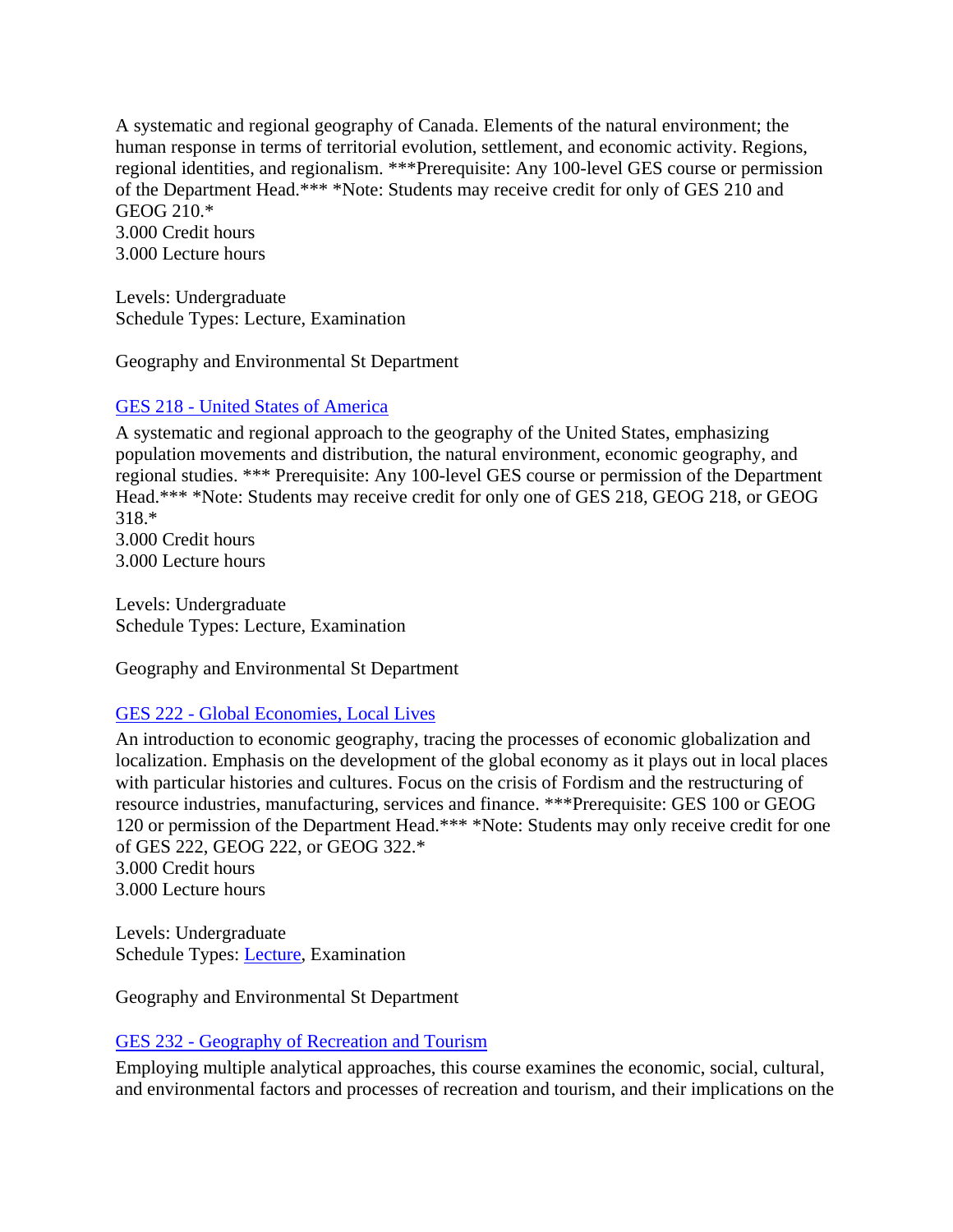A systematic and regional geography of Canada. Elements of the natural environment; the human response in terms of territorial evolution, settlement, and economic activity. Regions, regional identities, and regionalism. \*\*\*Prerequisite: Any 100-level GES course or permission of the Department Head.\*\*\* \*Note: Students may receive credit for only of GES 210 and GEOG 210.\* 3.000 Credit hours 3.000 Lecture hours

Levels: Undergraduate Schedule Types: Lecture, Examination

Geography and Environmental St Department

## GES 218 - [United States of America](https://banner.uregina.ca:17023/ssbprod/bwckctlg.p_disp_course_detail?cat_term_in=202130&subj_code_in=GES&crse_numb_in=218)

A systematic and regional approach to the geography of the United States, emphasizing population movements and distribution, the natural environment, economic geography, and regional studies. \*\*\* Prerequisite: Any 100-level GES course or permission of the Department Head.\*\*\* \*Note: Students may receive credit for only one of GES 218, GEOG 218, or GEOG 318.\*

3.000 Credit hours 3.000 Lecture hours

Levels: Undergraduate Schedule Types: Lecture, Examination

Geography and Environmental St Department

### GES 222 - [Global Economies, Local Lives](https://banner.uregina.ca:17023/ssbprod/bwckctlg.p_disp_course_detail?cat_term_in=202130&subj_code_in=GES&crse_numb_in=222)

An introduction to economic geography, tracing the processes of economic globalization and localization. Emphasis on the development of the global economy as it plays out in local places with particular histories and cultures. Focus on the crisis of Fordism and the restructuring of resource industries, manufacturing, services and finance. \*\*\*Prerequisite: GES 100 or GEOG 120 or permission of the Department Head.\*\*\* \*Note: Students may only receive credit for one of GES 222, GEOG 222, or GEOG 322.\* 3.000 Credit hours

3.000 Lecture hours

Levels: Undergraduate Schedule Types: [Lecture,](https://banner.uregina.ca:17023/ssbprod/bwckctlg.p_disp_listcrse?term_in=202130&subj_in=GES&crse_in=222&schd_in=A) Examination

Geography and Environmental St Department

### GES 232 - [Geography of Recreation and Tourism](https://banner.uregina.ca:17023/ssbprod/bwckctlg.p_disp_course_detail?cat_term_in=202130&subj_code_in=GES&crse_numb_in=232)

Employing multiple analytical approaches, this course examines the economic, social, cultural, and environmental factors and processes of recreation and tourism, and their implications on the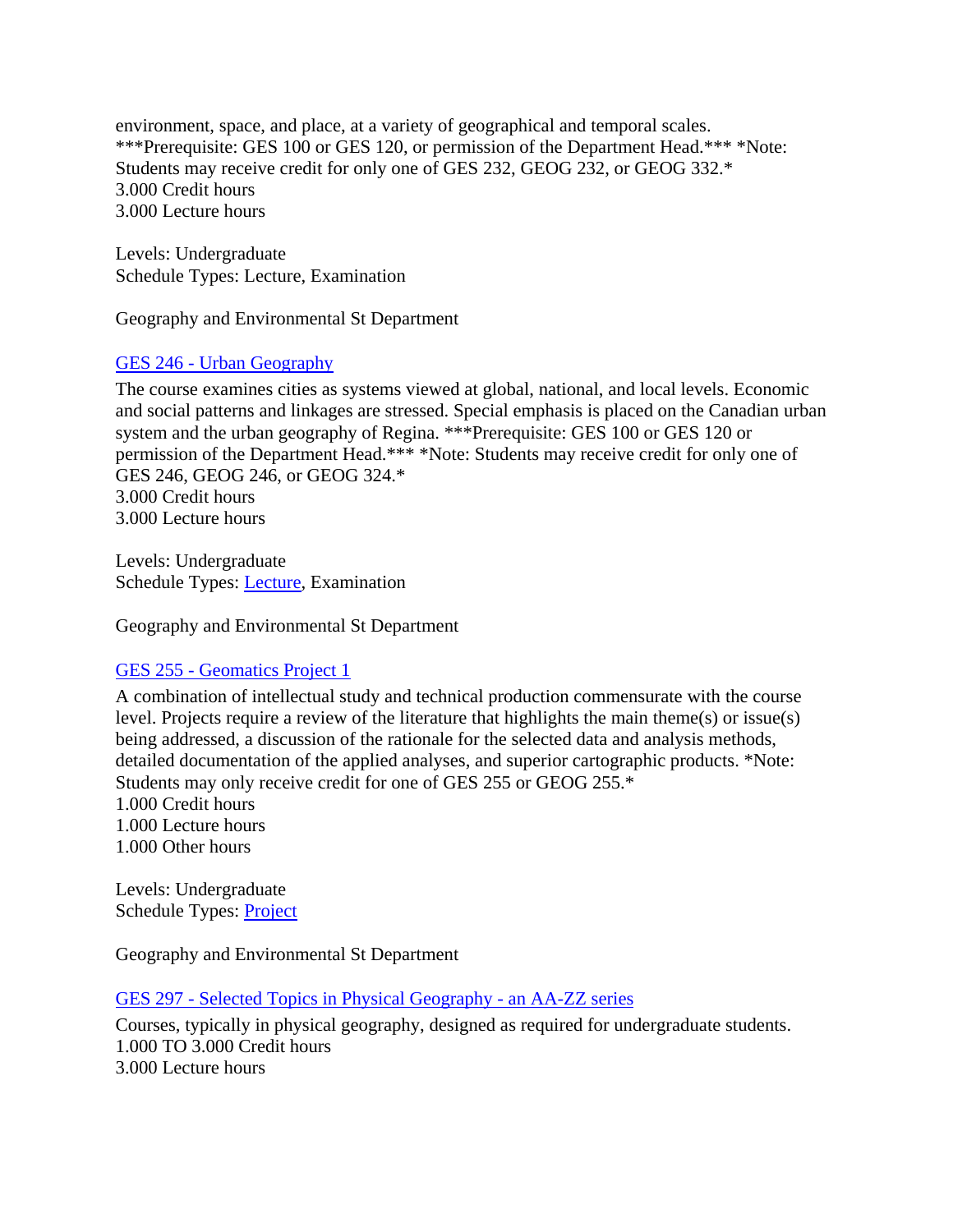environment, space, and place, at a variety of geographical and temporal scales. \*\*\*Prerequisite: GES 100 or GES 120, or permission of the Department Head.\*\*\* \*Note: Students may receive credit for only one of GES 232, GEOG 232, or GEOG 332.\* 3.000 Credit hours 3.000 Lecture hours

Levels: Undergraduate Schedule Types: Lecture, Examination

Geography and Environmental St Department

#### GES 246 - [Urban Geography](https://banner.uregina.ca:17023/ssbprod/bwckctlg.p_disp_course_detail?cat_term_in=202130&subj_code_in=GES&crse_numb_in=246)

The course examines cities as systems viewed at global, national, and local levels. Economic and social patterns and linkages are stressed. Special emphasis is placed on the Canadian urban system and the urban geography of Regina. \*\*\*Prerequisite: GES 100 or GES 120 or permission of the Department Head.\*\*\* \*Note: Students may receive credit for only one of GES 246, GEOG 246, or GEOG 324.\* 3.000 Credit hours 3.000 Lecture hours

Levels: Undergraduate Schedule Types: [Lecture,](https://banner.uregina.ca:17023/ssbprod/bwckctlg.p_disp_listcrse?term_in=202130&subj_in=GES&crse_in=246&schd_in=A) Examination

Geography and Environmental St Department

#### GES 255 - [Geomatics Project 1](https://banner.uregina.ca:17023/ssbprod/bwckctlg.p_disp_course_detail?cat_term_in=202130&subj_code_in=GES&crse_numb_in=255)

A combination of intellectual study and technical production commensurate with the course level. Projects require a review of the literature that highlights the main theme(s) or issue(s) being addressed, a discussion of the rationale for the selected data and analysis methods, detailed documentation of the applied analyses, and superior cartographic products. \*Note: Students may only receive credit for one of GES 255 or GEOG 255.\*

1.000 Credit hours 1.000 Lecture hours 1.000 Other hours

Levels: Undergraduate Schedule Types: [Project](https://banner.uregina.ca:17023/ssbprod/bwckctlg.p_disp_listcrse?term_in=202130&subj_in=GES&crse_in=255&schd_in=J)

Geography and Environmental St Department

GES 297 - [Selected Topics in Physical Geography -](https://banner.uregina.ca:17023/ssbprod/bwckctlg.p_disp_course_detail?cat_term_in=202130&subj_code_in=GES&crse_numb_in=297) an AA-ZZ series

Courses, typically in physical geography, designed as required for undergraduate students. 1.000 TO 3.000 Credit hours 3.000 Lecture hours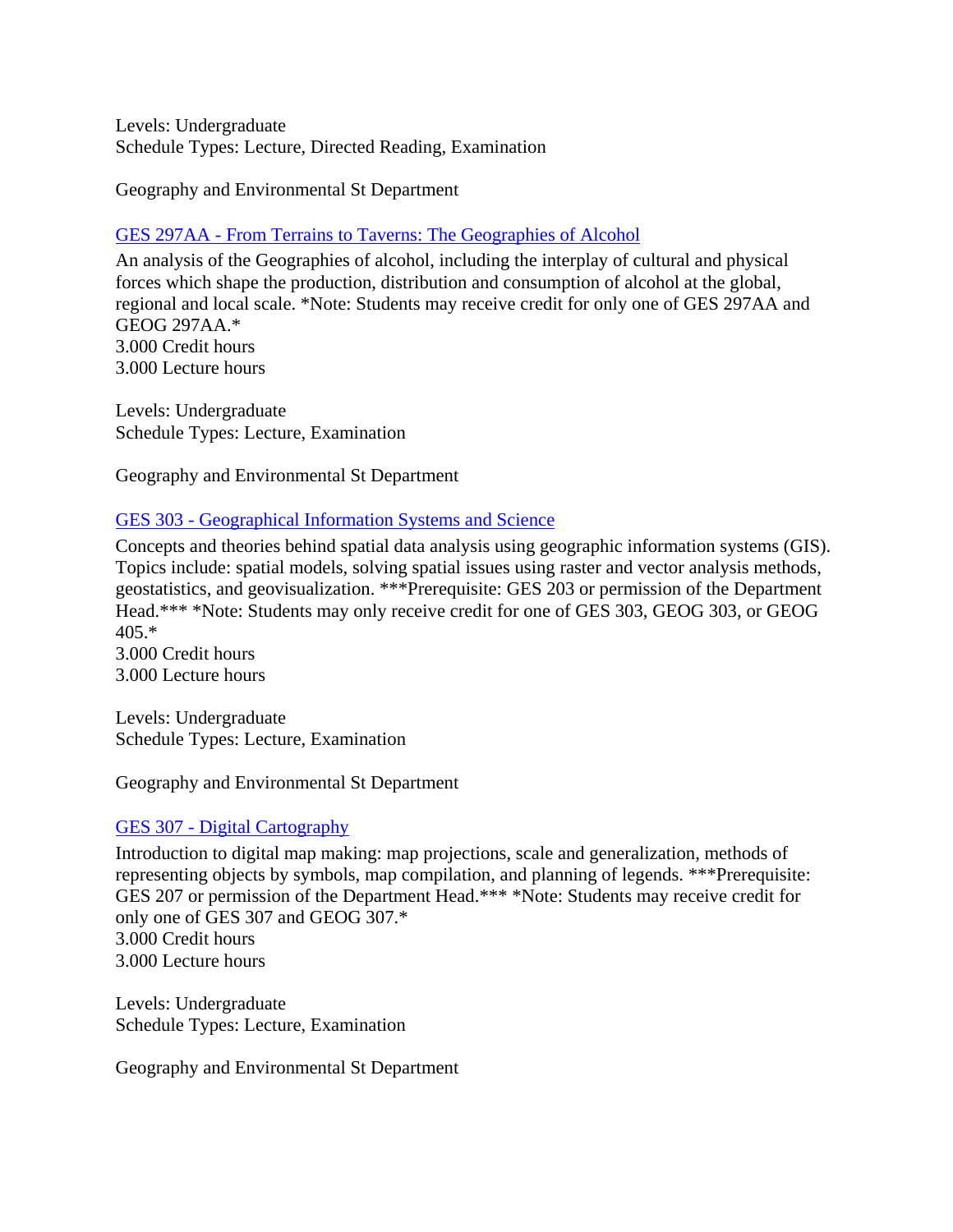Levels: Undergraduate Schedule Types: Lecture, Directed Reading, Examination

Geography and Environmental St Department

# GES 297AA - [From Terrains to Taverns: The Geographies of Alcohol](https://banner.uregina.ca:17023/ssbprod/bwckctlg.p_disp_course_detail?cat_term_in=202130&subj_code_in=GES&crse_numb_in=297AA)

An analysis of the Geographies of alcohol, including the interplay of cultural and physical forces which shape the production, distribution and consumption of alcohol at the global, regional and local scale. \*Note: Students may receive credit for only one of GES 297AA and GEOG 297AA.\* 3.000 Credit hours 3.000 Lecture hours

Levels: Undergraduate Schedule Types: Lecture, Examination

Geography and Environmental St Department

### GES 303 - [Geographical Information Systems and Science](https://banner.uregina.ca:17023/ssbprod/bwckctlg.p_disp_course_detail?cat_term_in=202130&subj_code_in=GES&crse_numb_in=303)

Concepts and theories behind spatial data analysis using geographic information systems (GIS). Topics include: spatial models, solving spatial issues using raster and vector analysis methods, geostatistics, and geovisualization. \*\*\*Prerequisite: GES 203 or permission of the Department Head.\*\*\* \*Note: Students may only receive credit for one of GES 303, GEOG 303, or GEOG  $405.*$ 

3.000 Credit hours 3.000 Lecture hours

Levels: Undergraduate Schedule Types: Lecture, Examination

Geography and Environmental St Department

# GES 307 - [Digital Cartography](https://banner.uregina.ca:17023/ssbprod/bwckctlg.p_disp_course_detail?cat_term_in=202130&subj_code_in=GES&crse_numb_in=307)

Introduction to digital map making: map projections, scale and generalization, methods of representing objects by symbols, map compilation, and planning of legends. \*\*\*Prerequisite: GES 207 or permission of the Department Head.\*\*\* \*Note: Students may receive credit for only one of GES 307 and GEOG 307.\* 3.000 Credit hours 3.000 Lecture hours

Levels: Undergraduate Schedule Types: Lecture, Examination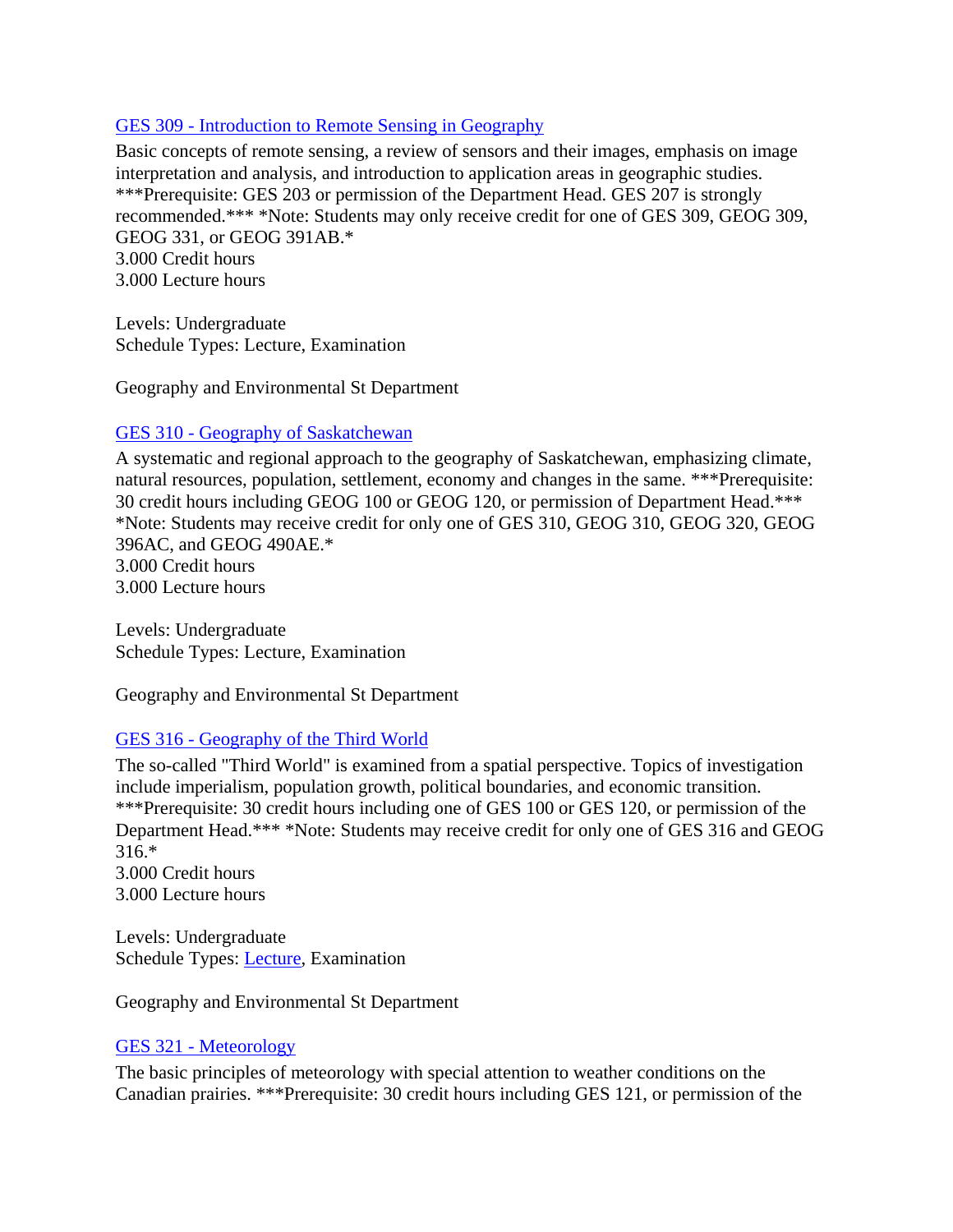# GES 309 - [Introduction to Remote Sensing in Geography](https://banner.uregina.ca:17023/ssbprod/bwckctlg.p_disp_course_detail?cat_term_in=202130&subj_code_in=GES&crse_numb_in=309)

Basic concepts of remote sensing, a review of sensors and their images, emphasis on image interpretation and analysis, and introduction to application areas in geographic studies. \*\*\*Prerequisite: GES 203 or permission of the Department Head. GES 207 is strongly recommended.\*\*\* \*Note: Students may only receive credit for one of GES 309, GEOG 309, GEOG 331, or GEOG 391AB.\* 3.000 Credit hours 3.000 Lecture hours

Levels: Undergraduate Schedule Types: Lecture, Examination

Geography and Environmental St Department

## GES 310 - [Geography of Saskatchewan](https://banner.uregina.ca:17023/ssbprod/bwckctlg.p_disp_course_detail?cat_term_in=202130&subj_code_in=GES&crse_numb_in=310)

A systematic and regional approach to the geography of Saskatchewan, emphasizing climate, natural resources, population, settlement, economy and changes in the same. \*\*\*Prerequisite: 30 credit hours including GEOG 100 or GEOG 120, or permission of Department Head.\*\*\* \*Note: Students may receive credit for only one of GES 310, GEOG 310, GEOG 320, GEOG 396AC, and GEOG 490AE.\* 3.000 Credit hours

3.000 Lecture hours

Levels: Undergraduate Schedule Types: Lecture, Examination

Geography and Environmental St Department

### GES 316 - [Geography of the Third World](https://banner.uregina.ca:17023/ssbprod/bwckctlg.p_disp_course_detail?cat_term_in=202130&subj_code_in=GES&crse_numb_in=316)

The so-called "Third World" is examined from a spatial perspective. Topics of investigation include imperialism, population growth, political boundaries, and economic transition. \*\*\*Prerequisite: 30 credit hours including one of GES 100 or GES 120, or permission of the Department Head.\*\*\* \*Note: Students may receive credit for only one of GES 316 and GEOG 316.\* 3.000 Credit hours

3.000 Lecture hours

Levels: Undergraduate Schedule Types: [Lecture,](https://banner.uregina.ca:17023/ssbprod/bwckctlg.p_disp_listcrse?term_in=202130&subj_in=GES&crse_in=316&schd_in=A) Examination

Geography and Environmental St Department

### GES 321 - [Meteorology](https://banner.uregina.ca:17023/ssbprod/bwckctlg.p_disp_course_detail?cat_term_in=202130&subj_code_in=GES&crse_numb_in=321)

The basic principles of meteorology with special attention to weather conditions on the Canadian prairies. \*\*\*Prerequisite: 30 credit hours including GES 121, or permission of the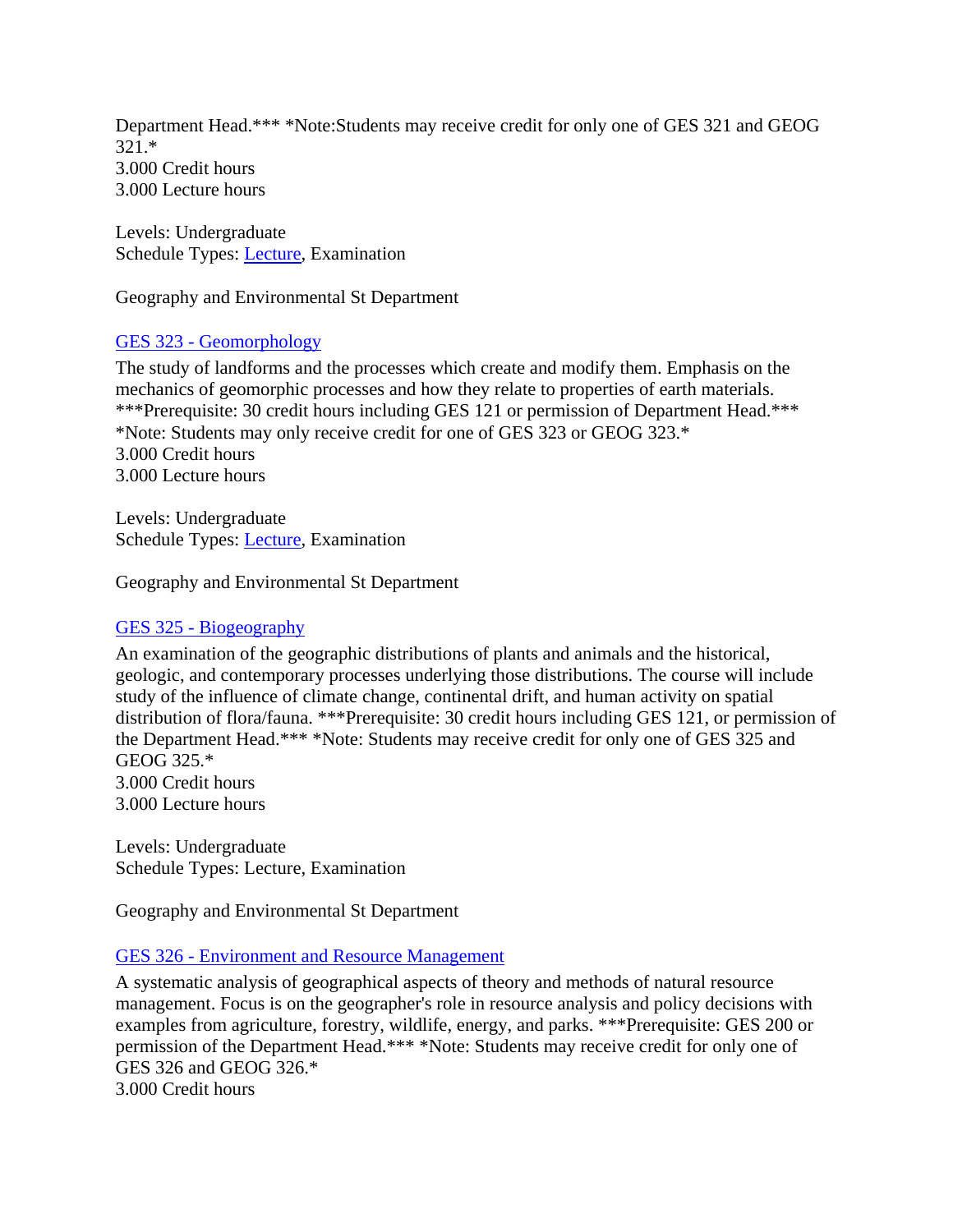Department Head.\*\*\* \*Note:Students may receive credit for only one of GES 321 and GEOG 321.\* 3.000 Credit hours 3.000 Lecture hours

Levels: Undergraduate Schedule Types: [Lecture,](https://banner.uregina.ca:17023/ssbprod/bwckctlg.p_disp_listcrse?term_in=202130&subj_in=GES&crse_in=321&schd_in=A) Examination

Geography and Environmental St Department

### GES 323 - [Geomorphology](https://banner.uregina.ca:17023/ssbprod/bwckctlg.p_disp_course_detail?cat_term_in=202130&subj_code_in=GES&crse_numb_in=323)

The study of landforms and the processes which create and modify them. Emphasis on the mechanics of geomorphic processes and how they relate to properties of earth materials. \*\*\*Prerequisite: 30 credit hours including GES 121 or permission of Department Head.\*\*\* \*Note: Students may only receive credit for one of GES 323 or GEOG 323.\* 3.000 Credit hours 3.000 Lecture hours

Levels: Undergraduate Schedule Types: [Lecture,](https://banner.uregina.ca:17023/ssbprod/bwckctlg.p_disp_listcrse?term_in=202130&subj_in=GES&crse_in=323&schd_in=A) Examination

Geography and Environmental St Department

#### GES 325 - [Biogeography](https://banner.uregina.ca:17023/ssbprod/bwckctlg.p_disp_course_detail?cat_term_in=202130&subj_code_in=GES&crse_numb_in=325)

An examination of the geographic distributions of plants and animals and the historical, geologic, and contemporary processes underlying those distributions. The course will include study of the influence of climate change, continental drift, and human activity on spatial distribution of flora/fauna. \*\*\*Prerequisite: 30 credit hours including GES 121, or permission of the Department Head.\*\*\* \*Note: Students may receive credit for only one of GES 325 and GEOG 325.\* 3.000 Credit hours

3.000 Lecture hours

Levels: Undergraduate Schedule Types: Lecture, Examination

Geography and Environmental St Department

#### GES 326 - [Environment and Resource Management](https://banner.uregina.ca:17023/ssbprod/bwckctlg.p_disp_course_detail?cat_term_in=202130&subj_code_in=GES&crse_numb_in=326)

A systematic analysis of geographical aspects of theory and methods of natural resource management. Focus is on the geographer's role in resource analysis and policy decisions with examples from agriculture, forestry, wildlife, energy, and parks. \*\*\*Prerequisite: GES 200 or permission of the Department Head.\*\*\* \*Note: Students may receive credit for only one of GES 326 and GEOG 326.\*

3.000 Credit hours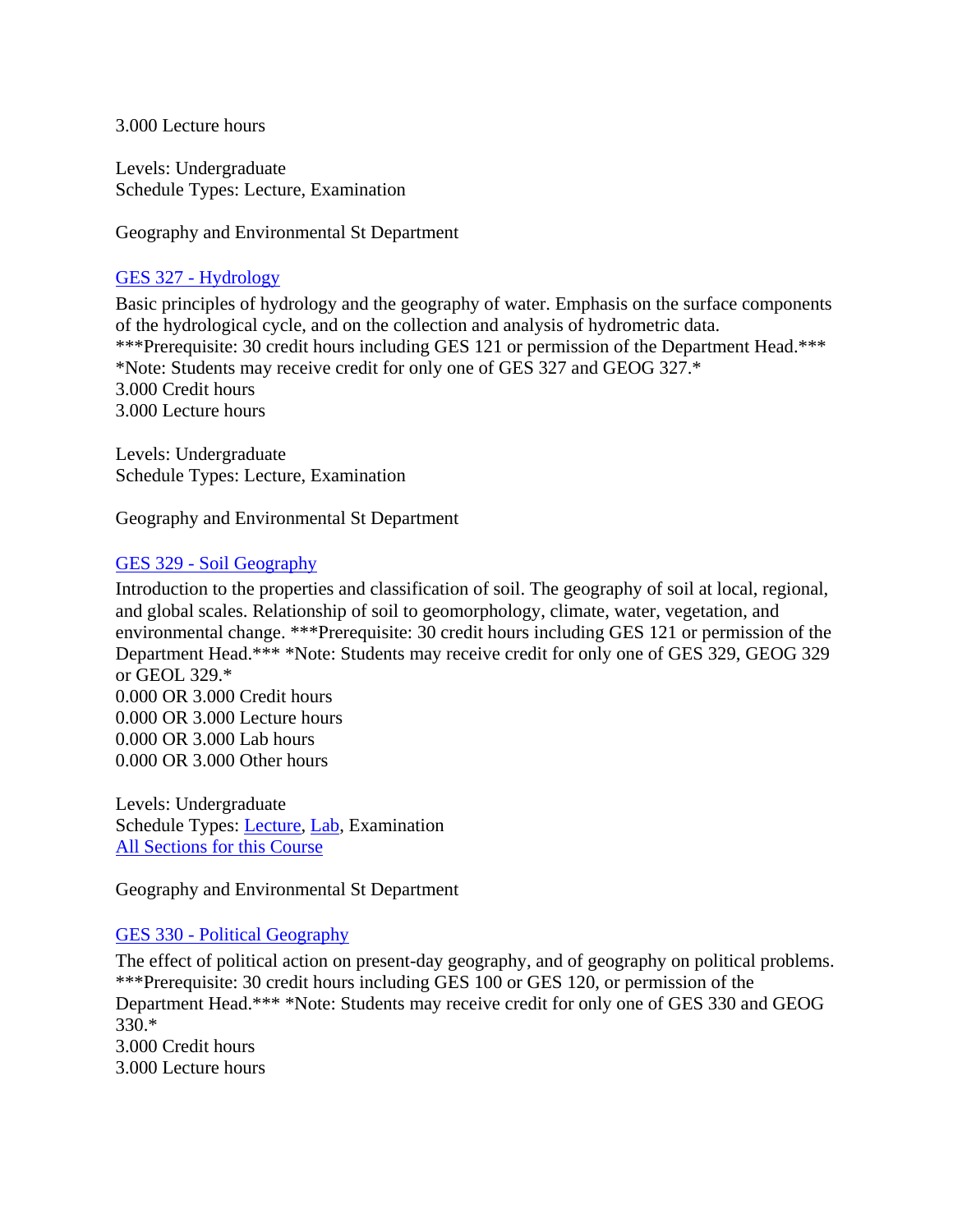3.000 Lecture hours

Levels: Undergraduate Schedule Types: Lecture, Examination

Geography and Environmental St Department

### GES 327 - [Hydrology](https://banner.uregina.ca:17023/ssbprod/bwckctlg.p_disp_course_detail?cat_term_in=202130&subj_code_in=GES&crse_numb_in=327)

Basic principles of hydrology and the geography of water. Emphasis on the surface components of the hydrological cycle, and on the collection and analysis of hydrometric data. \*\*\*Prerequisite: 30 credit hours including GES 121 or permission of the Department Head.\*\*\* \*Note: Students may receive credit for only one of GES 327 and GEOG 327.\* 3.000 Credit hours 3.000 Lecture hours

Levels: Undergraduate Schedule Types: Lecture, Examination

Geography and Environmental St Department

### GES 329 - [Soil Geography](https://banner.uregina.ca:17023/ssbprod/bwckctlg.p_disp_course_detail?cat_term_in=202130&subj_code_in=GES&crse_numb_in=329)

Introduction to the properties and classification of soil. The geography of soil at local, regional, and global scales. Relationship of soil to geomorphology, climate, water, vegetation, and environmental change. \*\*\*Prerequisite: 30 credit hours including GES 121 or permission of the Department Head.\*\*\* \*Note: Students may receive credit for only one of GES 329, GEOG 329 or GEOL 329.\* 0.000 OR 3.000 Credit hours 0.000 OR 3.000 Lecture hours 0.000 OR 3.000 Lab hours

0.000 OR 3.000 Other hours

Levels: Undergraduate Schedule Types: [Lecture,](https://banner.uregina.ca:17023/ssbprod/bwckctlg.p_disp_listcrse?term_in=202130&subj_in=GES&crse_in=329&schd_in=A) [Lab,](https://banner.uregina.ca:17023/ssbprod/bwckctlg.p_disp_listcrse?term_in=202130&subj_in=GES&crse_in=329&schd_in=B) Examination [All Sections for this Course](https://banner.uregina.ca:17023/ssbprod/bwckctlg.p_disp_listcrse?term_in=202130&subj_in=GES&crse_in=329&schd_in=)

Geography and Environmental St Department

### GES 330 - [Political Geography](https://banner.uregina.ca:17023/ssbprod/bwckctlg.p_disp_course_detail?cat_term_in=202130&subj_code_in=GES&crse_numb_in=330)

The effect of political action on present-day geography, and of geography on political problems. \*\*\*Prerequisite: 30 credit hours including GES 100 or GES 120, or permission of the Department Head.\*\*\* \*Note: Students may receive credit for only one of GES 330 and GEOG 330.\* 3.000 Credit hours 3.000 Lecture hours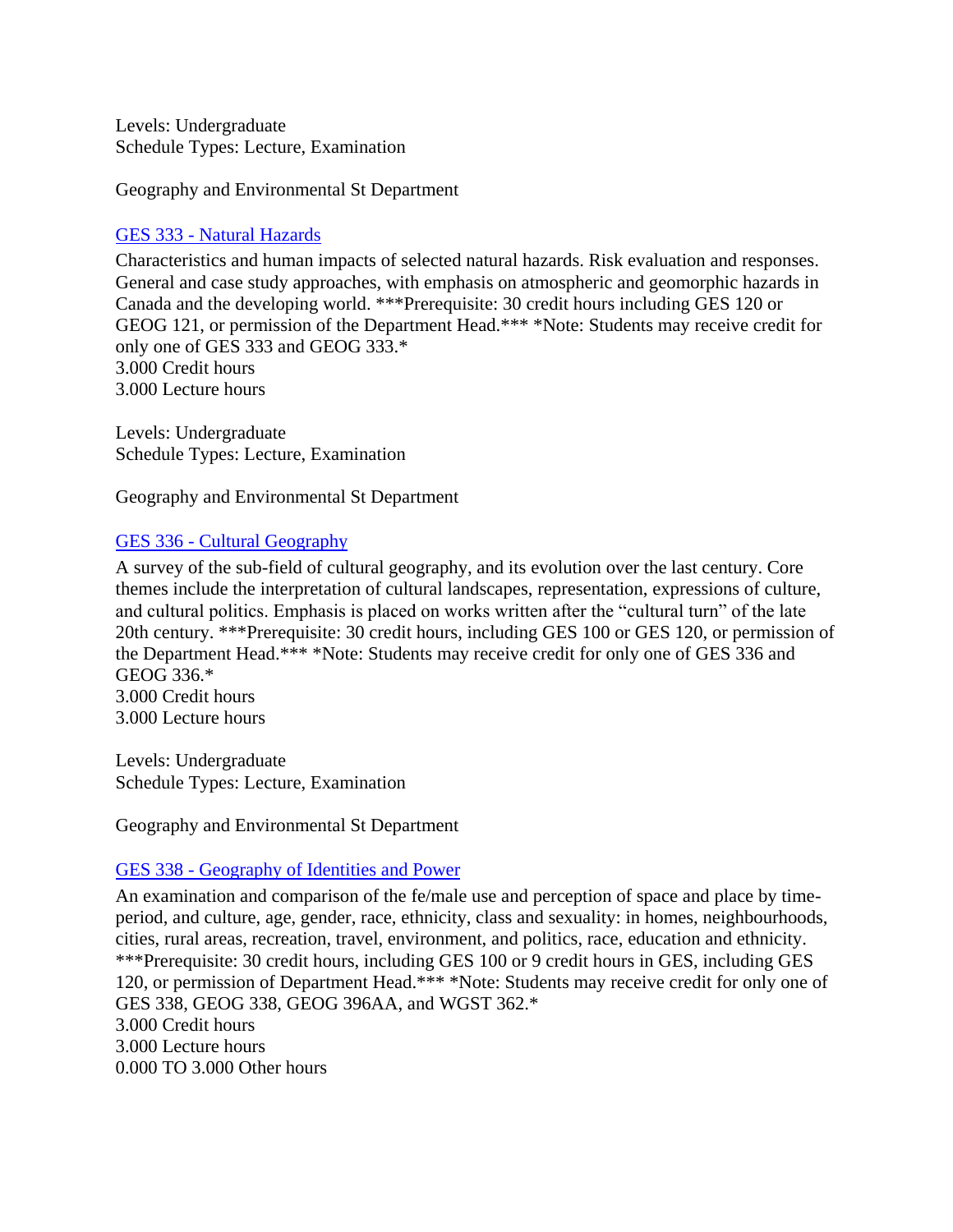Levels: Undergraduate Schedule Types: Lecture, Examination

Geography and Environmental St Department

#### GES 333 - [Natural Hazards](https://banner.uregina.ca:17023/ssbprod/bwckctlg.p_disp_course_detail?cat_term_in=202130&subj_code_in=GES&crse_numb_in=333)

Characteristics and human impacts of selected natural hazards. Risk evaluation and responses. General and case study approaches, with emphasis on atmospheric and geomorphic hazards in Canada and the developing world. \*\*\*Prerequisite: 30 credit hours including GES 120 or GEOG 121, or permission of the Department Head.\*\*\* \*Note: Students may receive credit for only one of GES 333 and GEOG 333.\* 3.000 Credit hours 3.000 Lecture hours

Levels: Undergraduate Schedule Types: Lecture, Examination

Geography and Environmental St Department

#### GES 336 - [Cultural Geography](https://banner.uregina.ca:17023/ssbprod/bwckctlg.p_disp_course_detail?cat_term_in=202130&subj_code_in=GES&crse_numb_in=336)

A survey of the sub-field of cultural geography, and its evolution over the last century. Core themes include the interpretation of cultural landscapes, representation, expressions of culture, and cultural politics. Emphasis is placed on works written after the "cultural turn" of the late 20th century. \*\*\*Prerequisite: 30 credit hours, including GES 100 or GES 120, or permission of the Department Head.\*\*\* \*Note: Students may receive credit for only one of GES 336 and GEOG 336.\* 3.000 Credit hours 3.000 Lecture hours

Levels: Undergraduate Schedule Types: Lecture, Examination

Geography and Environmental St Department

#### GES 338 - [Geography of Identities and Power](https://banner.uregina.ca:17023/ssbprod/bwckctlg.p_disp_course_detail?cat_term_in=202130&subj_code_in=GES&crse_numb_in=338)

An examination and comparison of the fe/male use and perception of space and place by timeperiod, and culture, age, gender, race, ethnicity, class and sexuality: in homes, neighbourhoods, cities, rural areas, recreation, travel, environment, and politics, race, education and ethnicity. \*\*\*Prerequisite: 30 credit hours, including GES 100 or 9 credit hours in GES, including GES 120, or permission of Department Head.\*\*\* \*Note: Students may receive credit for only one of GES 338, GEOG 338, GEOG 396AA, and WGST 362.\* 3.000 Credit hours 3.000 Lecture hours 0.000 TO 3.000 Other hours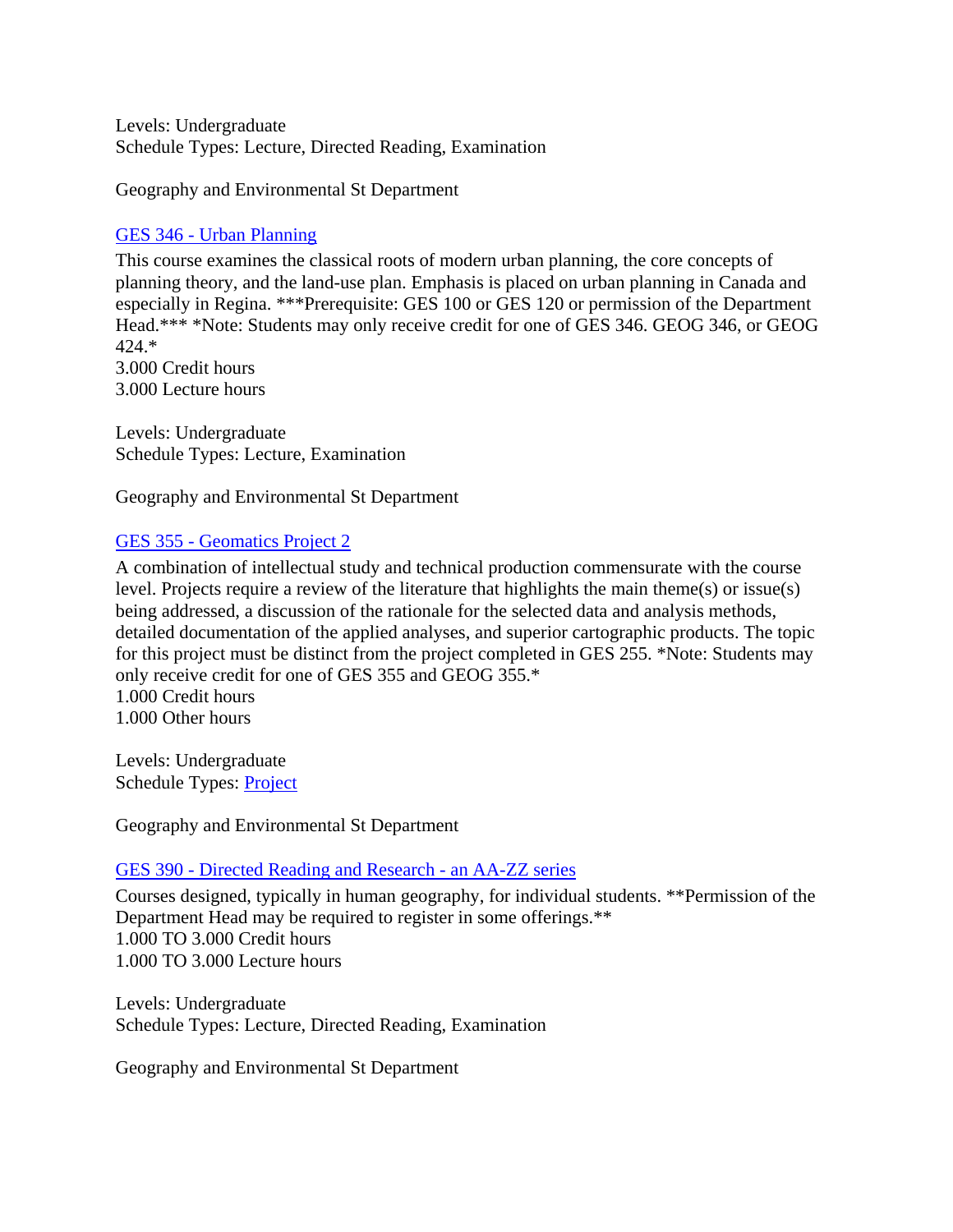Levels: Undergraduate Schedule Types: Lecture, Directed Reading, Examination

Geography and Environmental St Department

### GES 346 - [Urban Planning](https://banner.uregina.ca:17023/ssbprod/bwckctlg.p_disp_course_detail?cat_term_in=202130&subj_code_in=GES&crse_numb_in=346)

This course examines the classical roots of modern urban planning, the core concepts of planning theory, and the land-use plan. Emphasis is placed on urban planning in Canada and especially in Regina. \*\*\*Prerequisite: GES 100 or GES 120 or permission of the Department Head.\*\*\* \*Note: Students may only receive credit for one of GES 346. GEOG 346, or GEOG 424.\* 3.000 Credit hours

3.000 Lecture hours

Levels: Undergraduate Schedule Types: Lecture, Examination

Geography and Environmental St Department

## GES 355 - [Geomatics Project 2](https://banner.uregina.ca:17023/ssbprod/bwckctlg.p_disp_course_detail?cat_term_in=202130&subj_code_in=GES&crse_numb_in=355)

A combination of intellectual study and technical production commensurate with the course level. Projects require a review of the literature that highlights the main theme(s) or issue(s) being addressed, a discussion of the rationale for the selected data and analysis methods, detailed documentation of the applied analyses, and superior cartographic products. The topic for this project must be distinct from the project completed in GES 255. \*Note: Students may only receive credit for one of GES 355 and GEOG 355.\* 1.000 Credit hours

1.000 Other hours

Levels: Undergraduate Schedule Types: [Project](https://banner.uregina.ca:17023/ssbprod/bwckctlg.p_disp_listcrse?term_in=202130&subj_in=GES&crse_in=355&schd_in=J)

Geography and Environmental St Department

### GES 390 - [Directed Reading and Research -](https://banner.uregina.ca:17023/ssbprod/bwckctlg.p_disp_course_detail?cat_term_in=202130&subj_code_in=GES&crse_numb_in=390) an AA-ZZ series

Courses designed, typically in human geography, for individual students. \*\*Permission of the Department Head may be required to register in some offerings.\*\* 1.000 TO 3.000 Credit hours 1.000 TO 3.000 Lecture hours

Levels: Undergraduate Schedule Types: Lecture, Directed Reading, Examination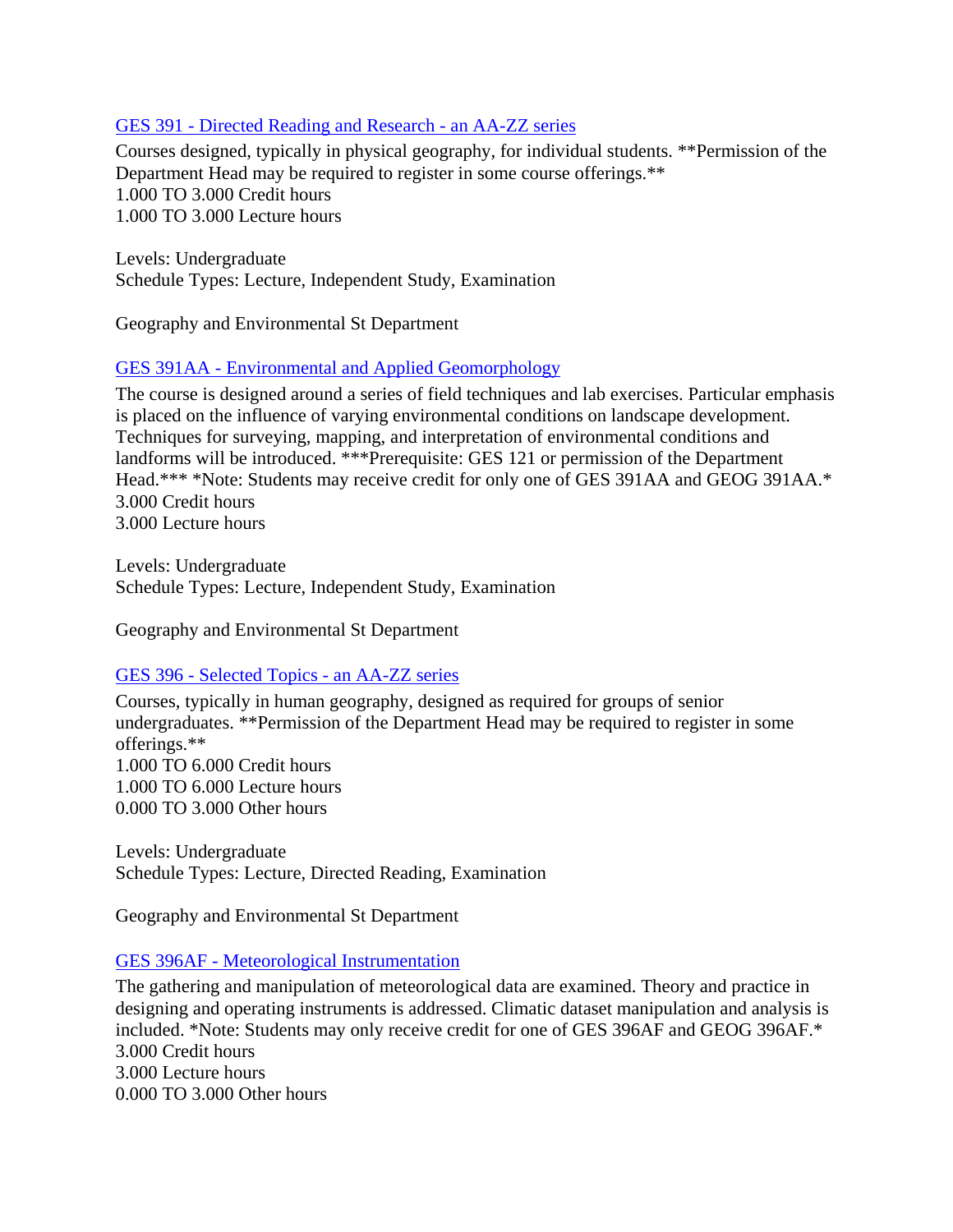## GES 391 - [Directed Reading and](https://banner.uregina.ca:17023/ssbprod/bwckctlg.p_disp_course_detail?cat_term_in=202130&subj_code_in=GES&crse_numb_in=391) Research - an AA-ZZ series

Courses designed, typically in physical geography, for individual students. \*\*Permission of the Department Head may be required to register in some course offerings.\*\* 1.000 TO 3.000 Credit hours 1.000 TO 3.000 Lecture hours

Levels: Undergraduate Schedule Types: Lecture, Independent Study, Examination

Geography and Environmental St Department

## GES 391AA - [Environmental and Applied Geomorphology](https://banner.uregina.ca:17023/ssbprod/bwckctlg.p_disp_course_detail?cat_term_in=202130&subj_code_in=GES&crse_numb_in=391AA)

The course is designed around a series of field techniques and lab exercises. Particular emphasis is placed on the influence of varying environmental conditions on landscape development. Techniques for surveying, mapping, and interpretation of environmental conditions and landforms will be introduced. \*\*\*Prerequisite: GES 121 or permission of the Department Head.\*\*\* \*Note: Students may receive credit for only one of GES 391AA and GEOG 391AA.\* 3.000 Credit hours 3.000 Lecture hours

Levels: Undergraduate Schedule Types: Lecture, Independent Study, Examination

Geography and Environmental St Department

### GES 396 - [Selected Topics -](https://banner.uregina.ca:17023/ssbprod/bwckctlg.p_disp_course_detail?cat_term_in=202130&subj_code_in=GES&crse_numb_in=396) an AA-ZZ series

Courses, typically in human geography, designed as required for groups of senior undergraduates. \*\*Permission of the Department Head may be required to register in some offerings.\*\* 1.000 TO 6.000 Credit hours 1.000 TO 6.000 Lecture hours 0.000 TO 3.000 Other hours

Levels: Undergraduate Schedule Types: Lecture, Directed Reading, Examination

Geography and Environmental St Department

### GES 396AF - [Meteorological Instrumentation](https://banner.uregina.ca:17023/ssbprod/bwckctlg.p_disp_course_detail?cat_term_in=202130&subj_code_in=GES&crse_numb_in=396AF)

The gathering and manipulation of meteorological data are examined. Theory and practice in designing and operating instruments is addressed. Climatic dataset manipulation and analysis is included. \*Note: Students may only receive credit for one of GES 396AF and GEOG 396AF.\* 3.000 Credit hours 3.000 Lecture hours 0.000 TO 3.000 Other hours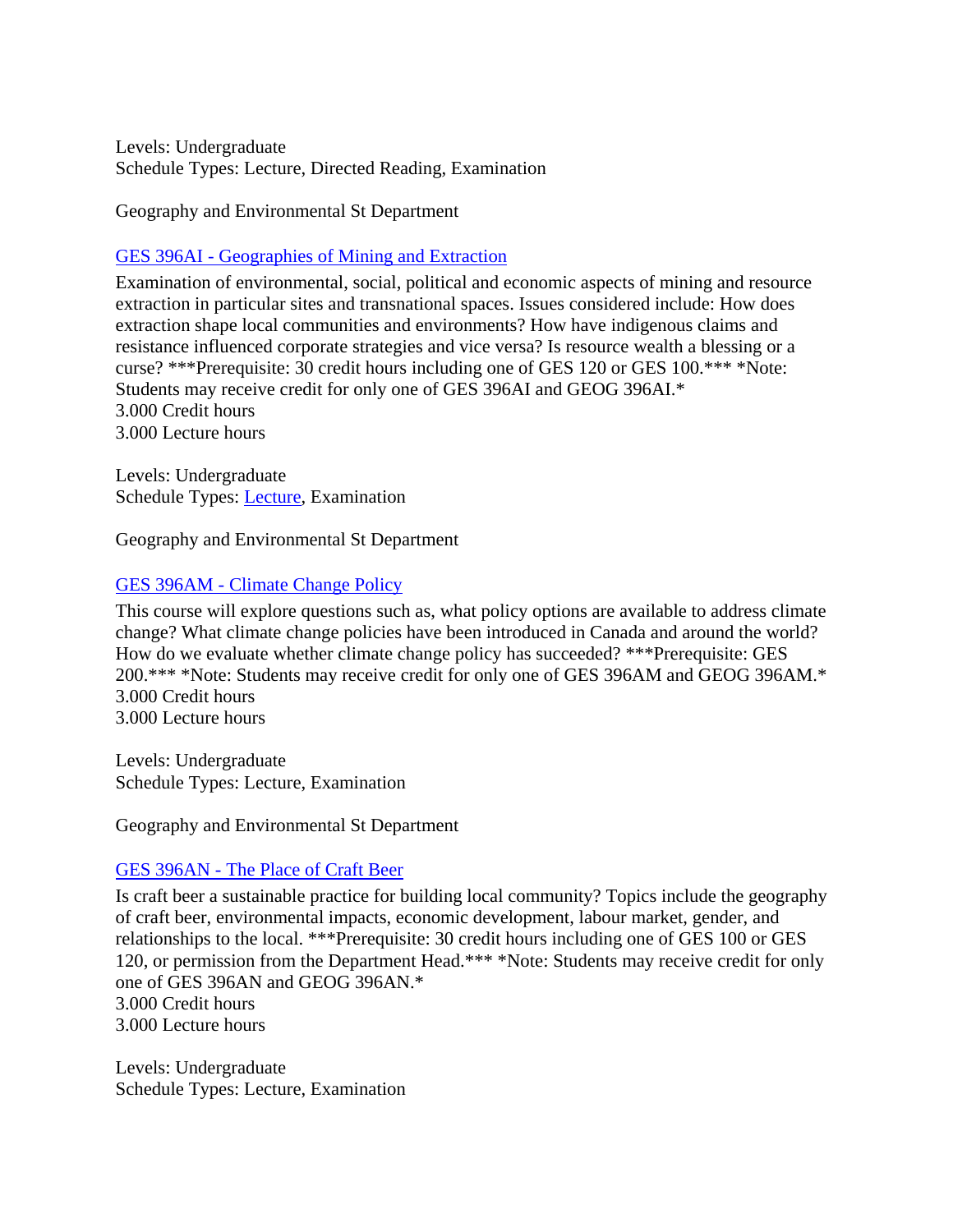Levels: Undergraduate Schedule Types: Lecture, Directed Reading, Examination

Geography and Environmental St Department

# GES 396AI - [Geographies of Mining and Extraction](https://banner.uregina.ca:17023/ssbprod/bwckctlg.p_disp_course_detail?cat_term_in=202130&subj_code_in=GES&crse_numb_in=396AI)

Examination of environmental, social, political and economic aspects of mining and resource extraction in particular sites and transnational spaces. Issues considered include: How does extraction shape local communities and environments? How have indigenous claims and resistance influenced corporate strategies and vice versa? Is resource wealth a blessing or a curse? \*\*\*Prerequisite: 30 credit hours including one of GES 120 or GES 100.\*\*\* \*Note: Students may receive credit for only one of GES 396AI and GEOG 396AI.\* 3.000 Credit hours 3.000 Lecture hours

Levels: Undergraduate Schedule Types: [Lecture,](https://banner.uregina.ca:17023/ssbprod/bwckctlg.p_disp_listcrse?term_in=202130&subj_in=GES&crse_in=396AI&schd_in=A) Examination

Geography and Environmental St Department

## GES 396AM - [Climate Change Policy](https://banner.uregina.ca:17023/ssbprod/bwckctlg.p_disp_course_detail?cat_term_in=202130&subj_code_in=GES&crse_numb_in=396AM)

This course will explore questions such as, what policy options are available to address climate change? What climate change policies have been introduced in Canada and around the world? How do we evaluate whether climate change policy has succeeded? \*\*\*Prerequisite: GES 200.\*\*\* \*Note: Students may receive credit for only one of GES 396AM and GEOG 396AM.\* 3.000 Credit hours 3.000 Lecture hours

Levels: Undergraduate Schedule Types: Lecture, Examination

Geography and Environmental St Department

### GES 396AN - [The Place of Craft Beer](https://banner.uregina.ca:17023/ssbprod/bwckctlg.p_disp_course_detail?cat_term_in=202130&subj_code_in=GES&crse_numb_in=396AN)

Is craft beer a sustainable practice for building local community? Topics include the geography of craft beer, environmental impacts, economic development, labour market, gender, and relationships to the local. \*\*\*Prerequisite: 30 credit hours including one of GES 100 or GES 120, or permission from the Department Head.\*\*\* \*Note: Students may receive credit for only one of GES 396AN and GEOG 396AN.\* 3.000 Credit hours 3.000 Lecture hours

Levels: Undergraduate Schedule Types: Lecture, Examination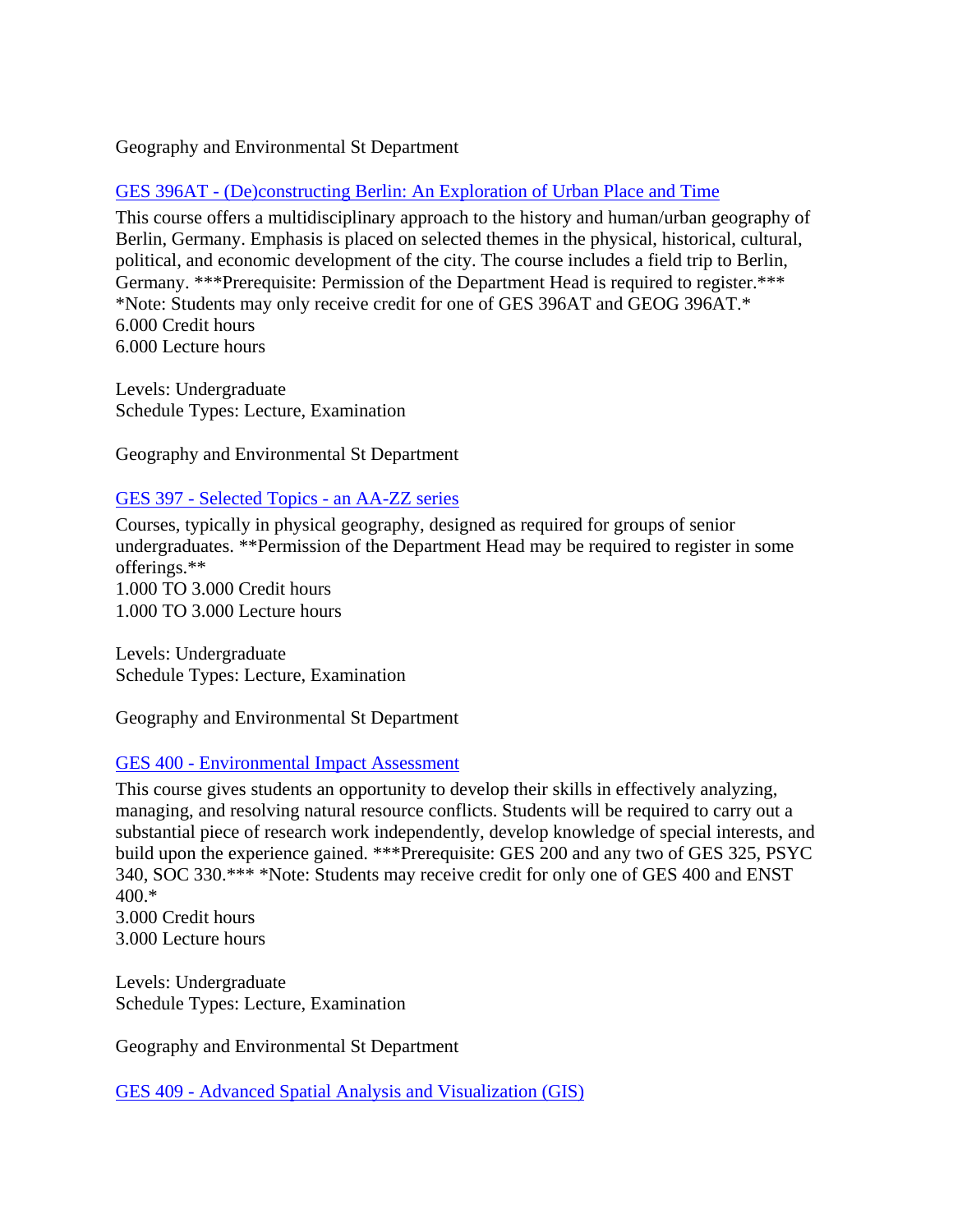### Geography and Environmental St Department

# GES 396AT - [\(De\)constructing Berlin: An Exploration of Urban Place and Time](https://banner.uregina.ca:17023/ssbprod/bwckctlg.p_disp_course_detail?cat_term_in=202130&subj_code_in=GES&crse_numb_in=396AT)

This course offers a multidisciplinary approach to the history and human/urban geography of Berlin, Germany. Emphasis is placed on selected themes in the physical, historical, cultural, political, and economic development of the city. The course includes a field trip to Berlin, Germany. \*\*\*Prerequisite: Permission of the Department Head is required to register.\*\*\* \*Note: Students may only receive credit for one of GES 396AT and GEOG 396AT.\* 6.000 Credit hours 6.000 Lecture hours

Levels: Undergraduate Schedule Types: Lecture, Examination

Geography and Environmental St Department

### GES 397 - [Selected Topics -](https://banner.uregina.ca:17023/ssbprod/bwckctlg.p_disp_course_detail?cat_term_in=202130&subj_code_in=GES&crse_numb_in=397) an AA-ZZ series

Courses, typically in physical geography, designed as required for groups of senior undergraduates. \*\*Permission of the Department Head may be required to register in some offerings.\*\* 1.000 TO 3.000 Credit hours 1.000 TO 3.000 Lecture hours

Levels: Undergraduate Schedule Types: Lecture, Examination

Geography and Environmental St Department

### GES 400 - [Environmental Impact Assessment](https://banner.uregina.ca:17023/ssbprod/bwckctlg.p_disp_course_detail?cat_term_in=202130&subj_code_in=GES&crse_numb_in=400)

This course gives students an opportunity to develop their skills in effectively analyzing, managing, and resolving natural resource conflicts. Students will be required to carry out a substantial piece of research work independently, develop knowledge of special interests, and build upon the experience gained. \*\*\*Prerequisite: GES 200 and any two of GES 325, PSYC 340, SOC 330.\*\*\* \*Note: Students may receive credit for only one of GES 400 and ENST 400.\* 3.000 Credit hours

3.000 Lecture hours

Levels: Undergraduate Schedule Types: Lecture, Examination

Geography and Environmental St Department

GES 409 - [Advanced Spatial Analysis and Visualization \(GIS\)](https://banner.uregina.ca:17023/ssbprod/bwckctlg.p_disp_course_detail?cat_term_in=202130&subj_code_in=GES&crse_numb_in=409)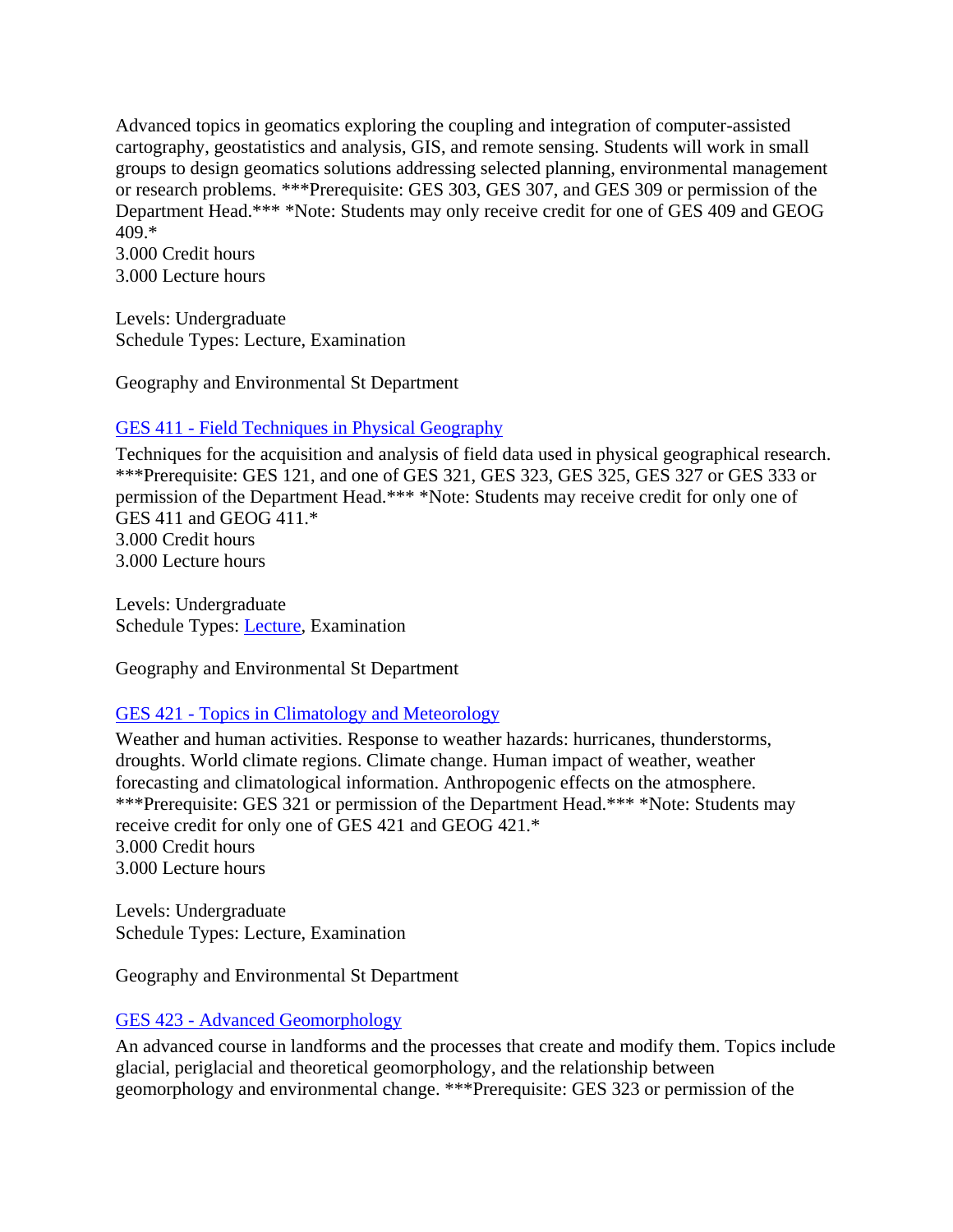Advanced topics in geomatics exploring the coupling and integration of computer-assisted cartography, geostatistics and analysis, GIS, and remote sensing. Students will work in small groups to design geomatics solutions addressing selected planning, environmental management or research problems. \*\*\*Prerequisite: GES 303, GES 307, and GES 309 or permission of the Department Head.\*\*\* \*Note: Students may only receive credit for one of GES 409 and GEOG 409.\*

3.000 Credit hours 3.000 Lecture hours

Levels: Undergraduate Schedule Types: Lecture, Examination

Geography and Environmental St Department

# GES 411 - [Field Techniques in Physical Geography](https://banner.uregina.ca:17023/ssbprod/bwckctlg.p_disp_course_detail?cat_term_in=202130&subj_code_in=GES&crse_numb_in=411)

Techniques for the acquisition and analysis of field data used in physical geographical research. \*\*\*Prerequisite: GES 121, and one of GES 321, GES 323, GES 325, GES 327 or GES 333 or permission of the Department Head.\*\*\* \*Note: Students may receive credit for only one of GES 411 and GEOG 411.\* 3.000 Credit hours 3.000 Lecture hours

Levels: Undergraduate Schedule Types: [Lecture,](https://banner.uregina.ca:17023/ssbprod/bwckctlg.p_disp_listcrse?term_in=202130&subj_in=GES&crse_in=411&schd_in=A) Examination

Geography and Environmental St Department

# GES 421 - [Topics in Climatology and Meteorology](https://banner.uregina.ca:17023/ssbprod/bwckctlg.p_disp_course_detail?cat_term_in=202130&subj_code_in=GES&crse_numb_in=421)

Weather and human activities. Response to weather hazards: hurricanes, thunderstorms, droughts. World climate regions. Climate change. Human impact of weather, weather forecasting and climatological information. Anthropogenic effects on the atmosphere. \*\*\*Prerequisite: GES 321 or permission of the Department Head.\*\*\* \*Note: Students may receive credit for only one of GES 421 and GEOG 421.\* 3.000 Credit hours 3.000 Lecture hours

Levels: Undergraduate Schedule Types: Lecture, Examination

Geography and Environmental St Department

# GES 423 - [Advanced Geomorphology](https://banner.uregina.ca:17023/ssbprod/bwckctlg.p_disp_course_detail?cat_term_in=202130&subj_code_in=GES&crse_numb_in=423)

An advanced course in landforms and the processes that create and modify them. Topics include glacial, periglacial and theoretical geomorphology, and the relationship between geomorphology and environmental change. \*\*\*Prerequisite: GES 323 or permission of the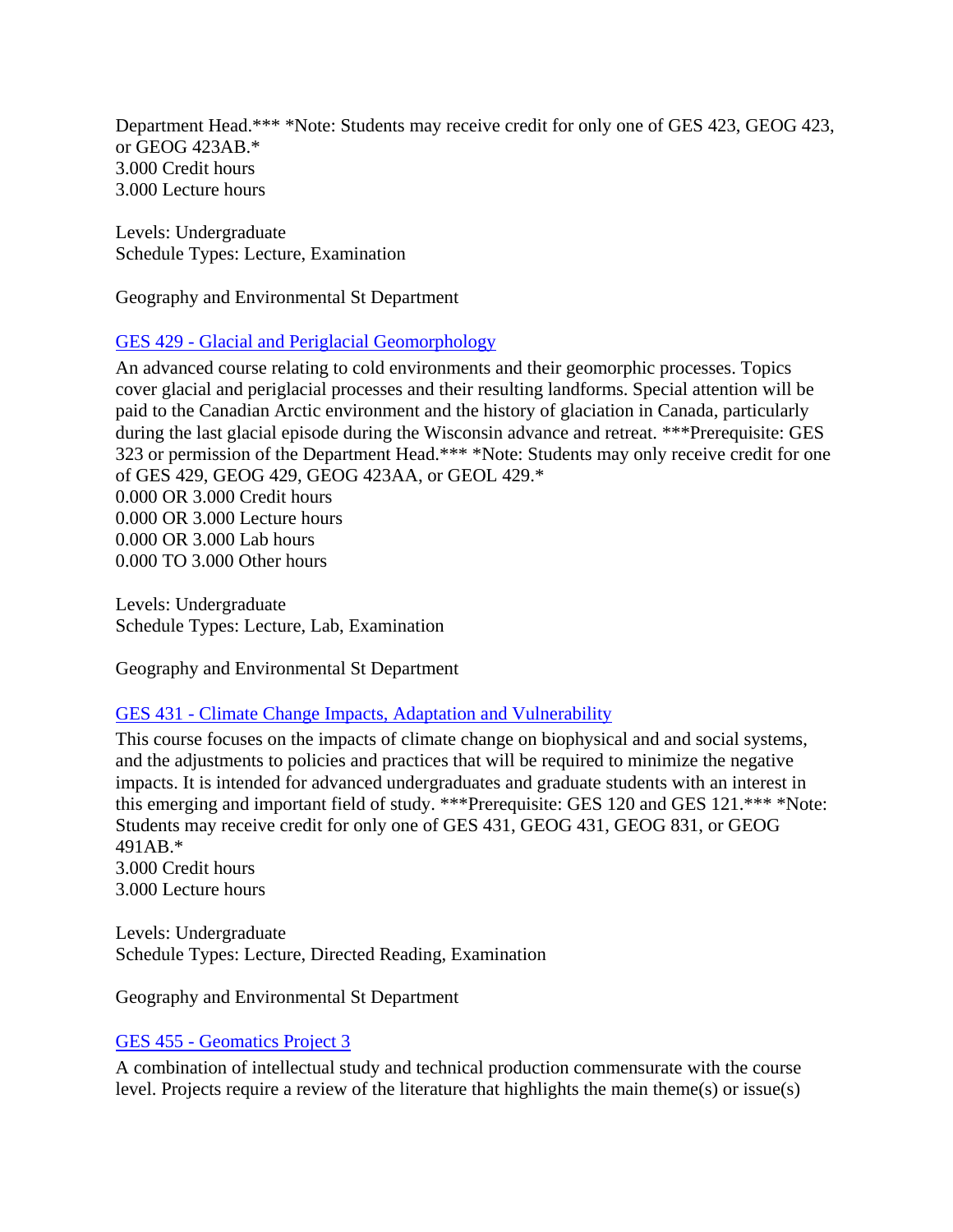Department Head.\*\*\* \*Note: Students may receive credit for only one of GES 423, GEOG 423, or GEOG 423AB.\* 3.000 Credit hours 3.000 Lecture hours

Levels: Undergraduate Schedule Types: Lecture, Examination

Geography and Environmental St Department

### GES 429 - [Glacial and Periglacial Geomorphology](https://banner.uregina.ca:17023/ssbprod/bwckctlg.p_disp_course_detail?cat_term_in=202130&subj_code_in=GES&crse_numb_in=429)

An advanced course relating to cold environments and their geomorphic processes. Topics cover glacial and periglacial processes and their resulting landforms. Special attention will be paid to the Canadian Arctic environment and the history of glaciation in Canada, particularly during the last glacial episode during the Wisconsin advance and retreat. \*\*\*Prerequisite: GES 323 or permission of the Department Head.\*\*\* \*Note: Students may only receive credit for one of GES 429, GEOG 429, GEOG 423AA, or GEOL 429.\* 0.000 OR 3.000 Credit hours 0.000 OR 3.000 Lecture hours 0.000 OR 3.000 Lab hours 0.000 TO 3.000 Other hours

Levels: Undergraduate Schedule Types: Lecture, Lab, Examination

Geography and Environmental St Department

### GES 431 - [Climate Change Impacts, Adaptation and Vulnerability](https://banner.uregina.ca:17023/ssbprod/bwckctlg.p_disp_course_detail?cat_term_in=202130&subj_code_in=GES&crse_numb_in=431)

This course focuses on the impacts of climate change on biophysical and and social systems, and the adjustments to policies and practices that will be required to minimize the negative impacts. It is intended for advanced undergraduates and graduate students with an interest in this emerging and important field of study. \*\*\*Prerequisite: GES 120 and GES 121.\*\*\* \*Note: Students may receive credit for only one of GES 431, GEOG 431, GEOG 831, or GEOG 491AB.\* 3.000 Credit hours

3.000 Lecture hours

Levels: Undergraduate Schedule Types: Lecture, Directed Reading, Examination

Geography and Environmental St Department

### GES 455 - [Geomatics Project 3](https://banner.uregina.ca:17023/ssbprod/bwckctlg.p_disp_course_detail?cat_term_in=202130&subj_code_in=GES&crse_numb_in=455)

A combination of intellectual study and technical production commensurate with the course level. Projects require a review of the literature that highlights the main theme(s) or issue(s)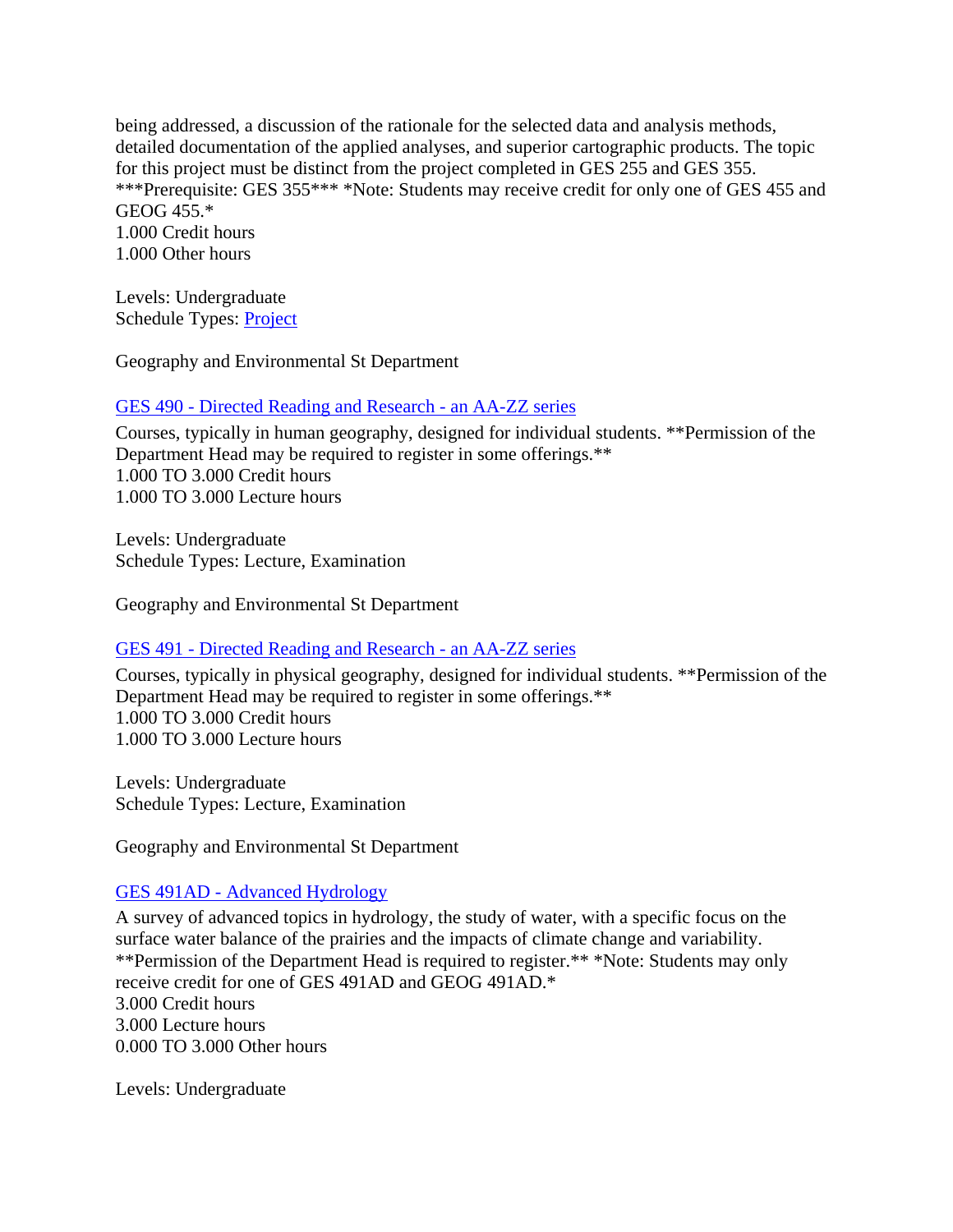being addressed, a discussion of the rationale for the selected data and analysis methods, detailed documentation of the applied analyses, and superior cartographic products. The topic for this project must be distinct from the project completed in GES 255 and GES 355. \*\*\*Prerequisite: GES 355\*\*\* \*Note: Students may receive credit for only one of GES 455 and GEOG 455.\* 1.000 Credit hours 1.000 Other hours

Levels: Undergraduate Schedule Types: [Project](https://banner.uregina.ca:17023/ssbprod/bwckctlg.p_disp_listcrse?term_in=202130&subj_in=GES&crse_in=455&schd_in=J)

Geography and Environmental St Department

GES 490 - [Directed Reading and Research -](https://banner.uregina.ca:17023/ssbprod/bwckctlg.p_disp_course_detail?cat_term_in=202130&subj_code_in=GES&crse_numb_in=490) an AA-ZZ series

Courses, typically in human geography, designed for individual students. \*\*Permission of the Department Head may be required to register in some offerings.\*\* 1.000 TO 3.000 Credit hours 1.000 TO 3.000 Lecture hours

Levels: Undergraduate Schedule Types: Lecture, Examination

Geography and Environmental St Department

### GES 491 - [Directed Reading and Research -](https://banner.uregina.ca:17023/ssbprod/bwckctlg.p_disp_course_detail?cat_term_in=202130&subj_code_in=GES&crse_numb_in=491) an AA-ZZ series

Courses, typically in physical geography, designed for individual students. \*\*Permission of the Department Head may be required to register in some offerings.\*\* 1.000 TO 3.000 Credit hours 1.000 TO 3.000 Lecture hours

Levels: Undergraduate Schedule Types: Lecture, Examination

Geography and Environmental St Department

### GES 491AD - [Advanced Hydrology](https://banner.uregina.ca:17023/ssbprod/bwckctlg.p_disp_course_detail?cat_term_in=202130&subj_code_in=GES&crse_numb_in=491AD)

A survey of advanced topics in hydrology, the study of water, with a specific focus on the surface water balance of the prairies and the impacts of climate change and variability. \*\*Permission of the Department Head is required to register.\*\* \*Note: Students may only receive credit for one of GES 491AD and GEOG 491AD.\* 3.000 Credit hours 3.000 Lecture hours 0.000 TO 3.000 Other hours

Levels: Undergraduate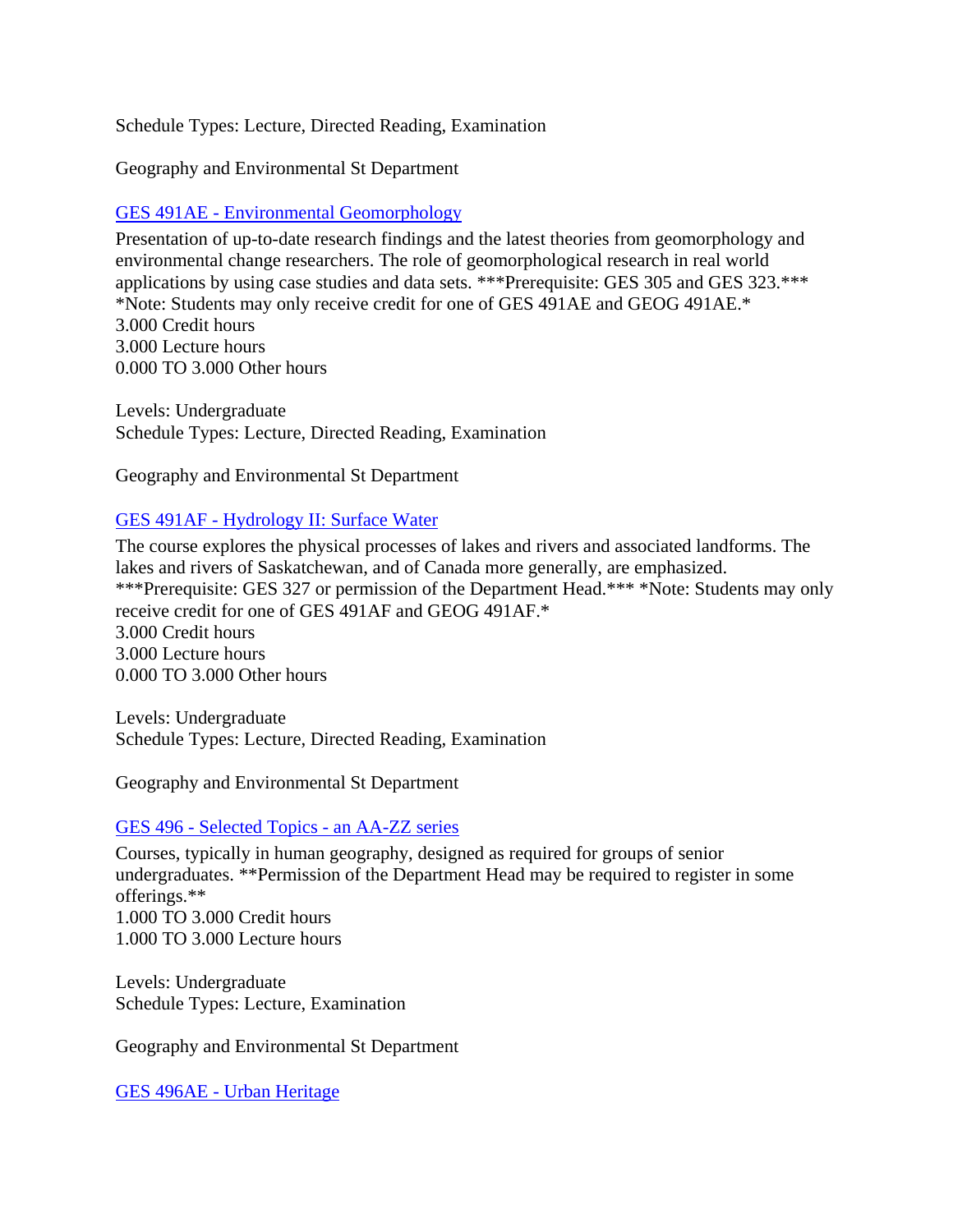Schedule Types: Lecture, Directed Reading, Examination

Geography and Environmental St Department

# GES 491AE - [Environmental Geomorphology](https://banner.uregina.ca:17023/ssbprod/bwckctlg.p_disp_course_detail?cat_term_in=202130&subj_code_in=GES&crse_numb_in=491AE)

Presentation of up-to-date research findings and the latest theories from geomorphology and environmental change researchers. The role of geomorphological research in real world applications by using case studies and data sets. \*\*\*Prerequisite: GES 305 and GES 323.\*\*\* \*Note: Students may only receive credit for one of GES 491AE and GEOG 491AE.\* 3.000 Credit hours 3.000 Lecture hours 0.000 TO 3.000 Other hours

Levels: Undergraduate Schedule Types: Lecture, Directed Reading, Examination

Geography and Environmental St Department

# GES 491AF - [Hydrology II: Surface Water](https://banner.uregina.ca:17023/ssbprod/bwckctlg.p_disp_course_detail?cat_term_in=202130&subj_code_in=GES&crse_numb_in=491AF)

The course explores the physical processes of lakes and rivers and associated landforms. The lakes and rivers of Saskatchewan, and of Canada more generally, are emphasized. \*\*\*Prerequisite: GES 327 or permission of the Department Head.\*\*\* \*Note: Students may only receive credit for one of GES 491AF and GEOG 491AF.\* 3.000 Credit hours 3.000 Lecture hours 0.000 TO 3.000 Other hours

Levels: Undergraduate Schedule Types: Lecture, Directed Reading, Examination

Geography and Environmental St Department

# GES 496 - [Selected Topics -](https://banner.uregina.ca:17023/ssbprod/bwckctlg.p_disp_course_detail?cat_term_in=202130&subj_code_in=GES&crse_numb_in=496) an AA-ZZ series

Courses, typically in human geography, designed as required for groups of senior undergraduates. \*\*Permission of the Department Head may be required to register in some offerings.\*\* 1.000 TO 3.000 Credit hours 1.000 TO 3.000 Lecture hours

Levels: Undergraduate Schedule Types: Lecture, Examination

Geography and Environmental St Department

GES 496AE - [Urban Heritage](https://banner.uregina.ca:17023/ssbprod/bwckctlg.p_disp_course_detail?cat_term_in=202130&subj_code_in=GES&crse_numb_in=496AE)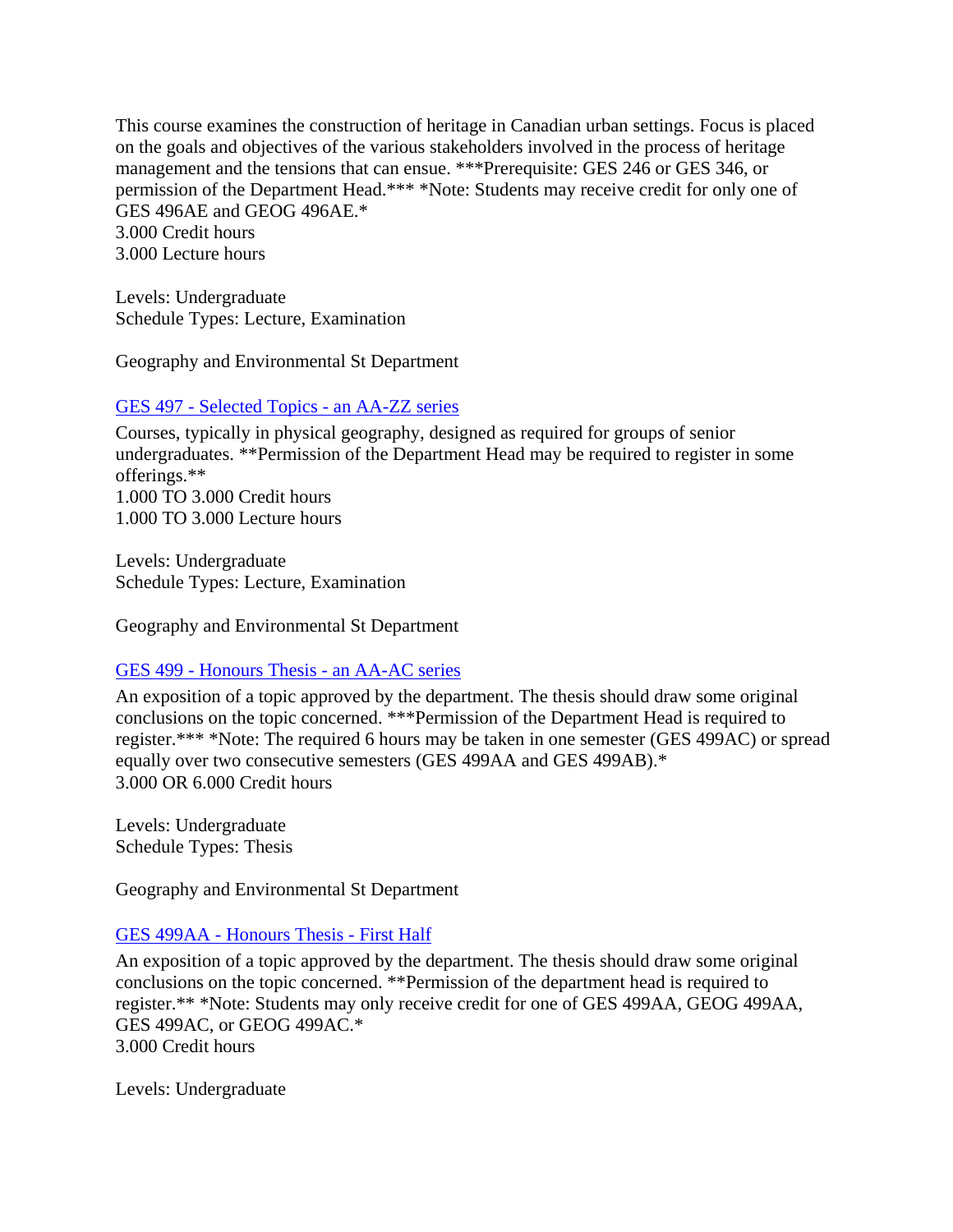This course examines the construction of heritage in Canadian urban settings. Focus is placed on the goals and objectives of the various stakeholders involved in the process of heritage management and the tensions that can ensue. \*\*\*Prerequisite: GES 246 or GES 346, or permission of the Department Head.\*\*\* \*Note: Students may receive credit for only one of GES 496AE and GEOG 496AE.\* 3.000 Credit hours 3.000 Lecture hours

Levels: Undergraduate Schedule Types: Lecture, Examination

Geography and Environmental St Department

#### GES 497 - [Selected Topics -](https://banner.uregina.ca:17023/ssbprod/bwckctlg.p_disp_course_detail?cat_term_in=202130&subj_code_in=GES&crse_numb_in=497) an AA-ZZ series

Courses, typically in physical geography, designed as required for groups of senior undergraduates. \*\*Permission of the Department Head may be required to register in some offerings.\*\* 1.000 TO 3.000 Credit hours 1.000 TO 3.000 Lecture hours

Levels: Undergraduate Schedule Types: Lecture, Examination

Geography and Environmental St Department

### GES 499 - [Honours Thesis -](https://banner.uregina.ca:17023/ssbprod/bwckctlg.p_disp_course_detail?cat_term_in=202130&subj_code_in=GES&crse_numb_in=499) an AA-AC series

An exposition of a topic approved by the department. The thesis should draw some original conclusions on the topic concerned. \*\*\*Permission of the Department Head is required to register.\*\*\* \*Note: The required 6 hours may be taken in one semester (GES 499AC) or spread equally over two consecutive semesters (GES 499AA and GES 499AB).\* 3.000 OR 6.000 Credit hours

Levels: Undergraduate Schedule Types: Thesis

Geography and Environmental St Department

### GES 499AA - [Honours Thesis -](https://banner.uregina.ca:17023/ssbprod/bwckctlg.p_disp_course_detail?cat_term_in=202130&subj_code_in=GES&crse_numb_in=499AA) First Half

An exposition of a topic approved by the department. The thesis should draw some original conclusions on the topic concerned. \*\*Permission of the department head is required to register.\*\* \*Note: Students may only receive credit for one of GES 499AA, GEOG 499AA, GES 499AC, or GEOG 499AC.\* 3.000 Credit hours

Levels: Undergraduate